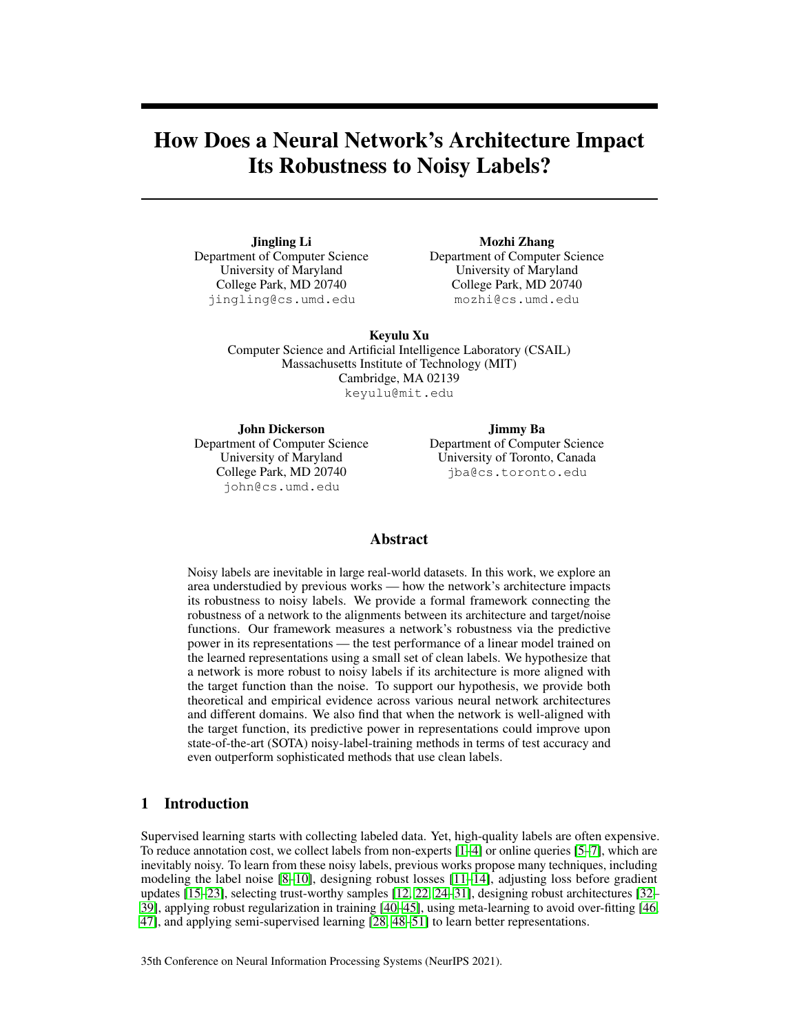# <span id="page-0-0"></span>How Does a Neural Network's Architecture Impact Its Robustness to Noisy Labels?

Jingling Li Department of Computer Science University of Maryland College Park, MD 20740 jingling@cs.umd.edu

Mozhi Zhang Department of Computer Science University of Maryland College Park, MD 20740 mozhi@cs.umd.edu

Keyulu Xu Computer Science and Artificial Intelligence Laboratory (CSAIL) Massachusetts Institute of Technology (MIT) Cambridge, MA 02139

keyulu@mit.edu

John Dickerson Department of Computer Science University of Maryland College Park, MD 20740 john@cs.umd.edu

Jimmy Ba Department of Computer Science University of Toronto, Canada jba@cs.toronto.edu

## Abstract

Noisy labels are inevitable in large real-world datasets. In this work, we explore an area understudied by previous works — how the network's architecture impacts its robustness to noisy labels. We provide a formal framework connecting the robustness of a network to the alignments between its architecture and target/noise functions. Our framework measures a network's robustness via the predictive power in its representations — the test performance of a linear model trained on the learned representations using a small set of clean labels. We hypothesize that a network is more robust to noisy labels if its architecture is more aligned with the target function than the noise. To support our hypothesis, we provide both theoretical and empirical evidence across various neural network architectures and different domains. We also find that when the network is well-aligned with the target function, its predictive power in representations could improve upon state-of-the-art (SOTA) noisy-label-training methods in terms of test accuracy and even outperform sophisticated methods that use clean labels.

## 1 Introduction

Supervised learning starts with collecting labeled data. Yet, high-quality labels are often expensive. To reduce annotation cost, we collect labels from non-experts [\[1–](#page-10-0)[4\]](#page-10-1) or online queries [\[5](#page-10-2)[–7\]](#page-10-3), which are inevitably noisy. To learn from these noisy labels, previous works propose many techniques, including modeling the label noise [\[8](#page-10-4)[–10\]](#page-10-5), designing robust losses [\[11–](#page-10-6)[14\]](#page-10-7), adjusting loss before gradient updates [\[15–](#page-11-0)[23\]](#page-11-1), selecting trust-worthy samples [\[12,](#page-10-8) [22,](#page-11-2) [24](#page-11-3)[–31\]](#page-11-4), designing robust architectures [\[32–](#page-11-5) [39\]](#page-12-0), applying robust regularization in training [\[40](#page-12-1)[–45\]](#page-12-2), using meta-learning to avoid over-fitting [\[46,](#page-12-3) [47\]](#page-12-4), and applying semi-supervised learning [\[28,](#page-11-6) [48–](#page-12-5)[51\]](#page-12-6) to learn better representations.

35th Conference on Neural Information Processing Systems (NeurIPS 2021).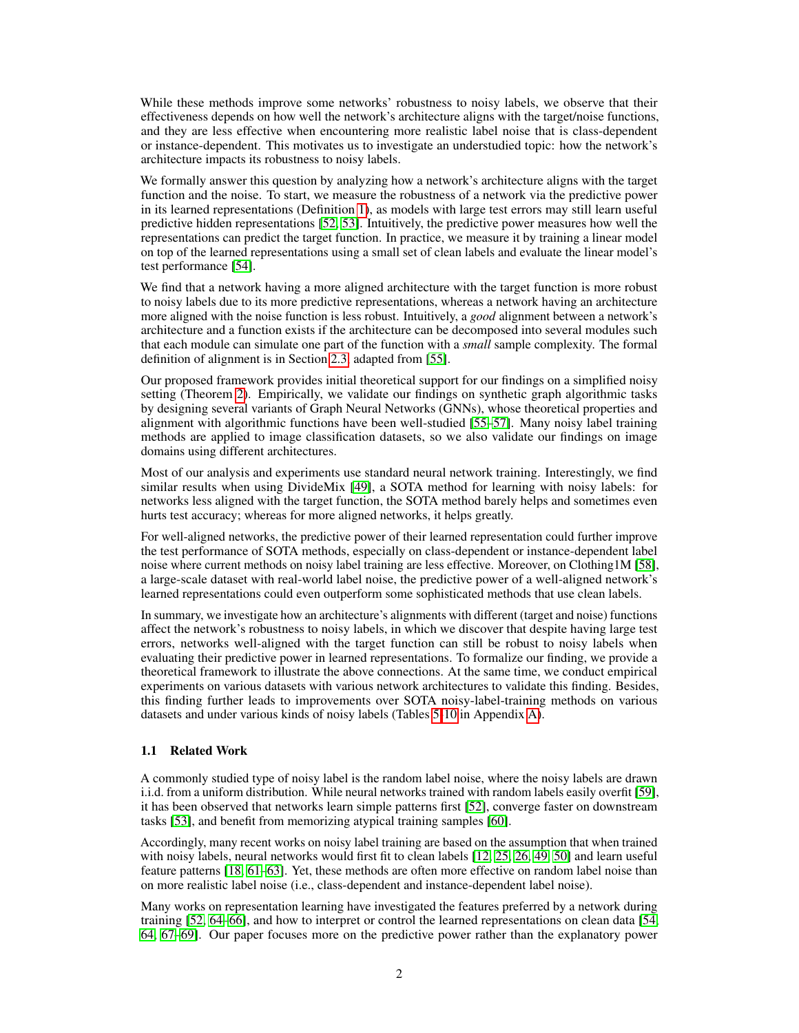While these methods improve some networks' robustness to noisy labels, we observe that their effectiveness depends on how well the network's architecture aligns with the target/noise functions, and they are less effective when encountering more realistic label noise that is class-dependent or instance-dependent. This motivates us to investigate an understudied topic: how the network's architecture impacts its robustness to noisy labels.

We formally answer this question by analyzing how a network's architecture aligns with the target function and the noise. To start, we measure the robustness of a network via the predictive power in its learned representations (Definition [1\)](#page-2-0), as models with large test errors may still learn useful predictive hidden representations [\[52,](#page-12-7) [53\]](#page-12-8). Intuitively, the predictive power measures how well the representations can predict the target function. In practice, we measure it by training a linear model on top of the learned representations using a small set of clean labels and evaluate the linear model's test performance [\[54\]](#page-12-9).

We find that a network having a more aligned architecture with the target function is more robust to noisy labels due to its more predictive representations, whereas a network having an architecture more aligned with the noise function is less robust. Intuitively, a *good* alignment between a network's architecture and a function exists if the architecture can be decomposed into several modules such that each module can simulate one part of the function with a *small* sample complexity. The formal definition of alignment is in Section [2.3,](#page-3-0) adapted from [\[55\]](#page-13-0).

Our proposed framework provides initial theoretical support for our findings on a simplified noisy setting (Theorem [2\)](#page-4-0). Empirically, we validate our findings on synthetic graph algorithmic tasks by designing several variants of Graph Neural Networks (GNNs), whose theoretical properties and alignment with algorithmic functions have been well-studied [\[55](#page-13-0)[–57\]](#page-13-1). Many noisy label training methods are applied to image classification datasets, so we also validate our findings on image domains using different architectures.

Most of our analysis and experiments use standard neural network training. Interestingly, we find similar results when using DivideMix [\[49\]](#page-12-10), a SOTA method for learning with noisy labels: for networks less aligned with the target function, the SOTA method barely helps and sometimes even hurts test accuracy; whereas for more aligned networks, it helps greatly.

For well-aligned networks, the predictive power of their learned representation could further improve the test performance of SOTA methods, especially on class-dependent or instance-dependent label noise where current methods on noisy label training are less effective. Moreover, on Clothing1M [\[58\]](#page-13-2), a large-scale dataset with real-world label noise, the predictive power of a well-aligned network's learned representations could even outperform some sophisticated methods that use clean labels.

In summary, we investigate how an architecture's alignments with different (target and noise) functions affect the network's robustness to noisy labels, in which we discover that despite having large test errors, networks well-aligned with the target function can still be robust to noisy labels when evaluating their predictive power in learned representations. To formalize our finding, we provide a theoretical framework to illustrate the above connections. At the same time, we conduct empirical experiments on various datasets with various network architectures to validate this finding. Besides, this finding further leads to improvements over SOTA noisy-label-training methods on various datasets and under various kinds of noisy labels (Tables [5-10](#page-0-0) in Appendix [A\)](#page-0-0).

## 1.1 Related Work

A commonly studied type of noisy label is the random label noise, where the noisy labels are drawn i.i.d. from a uniform distribution. While neural networks trained with random labels easily overfit [\[59\]](#page-13-3), it has been observed that networks learn simple patterns first [\[52\]](#page-12-7), converge faster on downstream tasks [\[53\]](#page-12-8), and benefit from memorizing atypical training samples [\[60\]](#page-13-4).

Accordingly, many recent works on noisy label training are based on the assumption that when trained with noisy labels, neural networks would first fit to clean labels [\[12,](#page-10-8) [25,](#page-11-7) [26,](#page-11-8) [49,](#page-12-10) [50\]](#page-12-11) and learn useful feature patterns [\[18,](#page-11-9) [61–](#page-13-5)[63\]](#page-13-6). Yet, these methods are often more effective on random label noise than on more realistic label noise (i.e., class-dependent and instance-dependent label noise).

Many works on representation learning have investigated the features preferred by a network during training [\[52,](#page-12-7) [64–](#page-13-7)[66\]](#page-13-8), and how to interpret or control the learned representations on clean data [\[54,](#page-12-9) [64,](#page-13-7) [67–](#page-13-9)[69\]](#page-13-10). Our paper focuses more on the predictive power rather than the explanatory power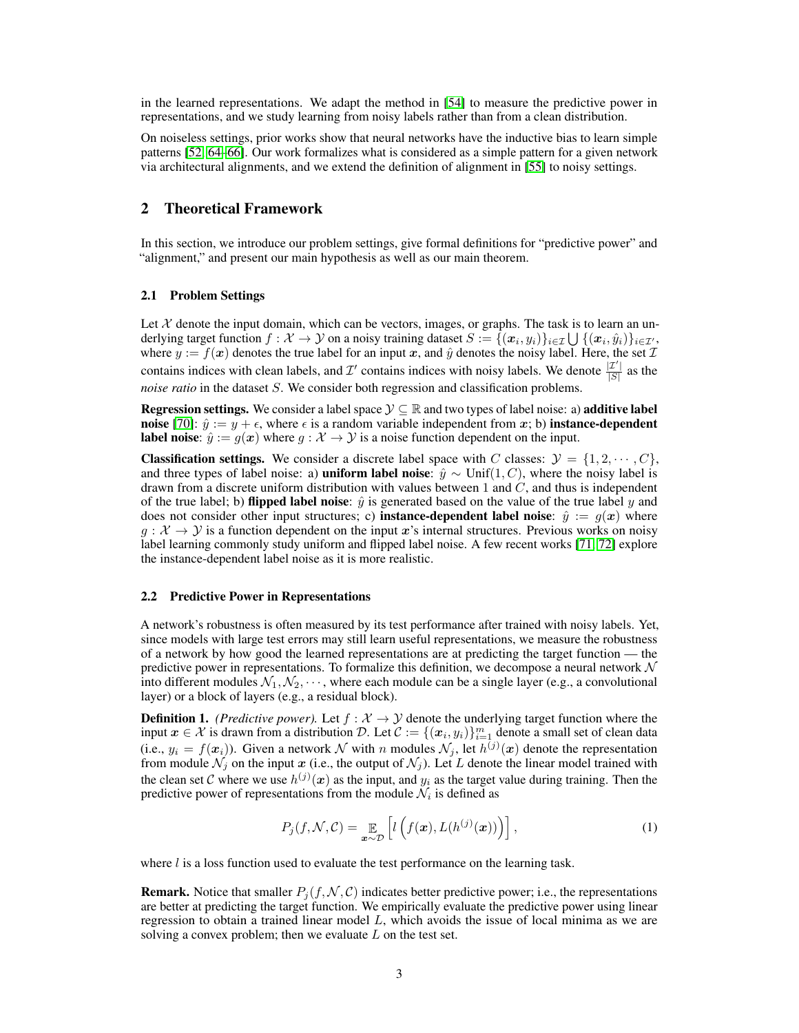in the learned representations. We adapt the method in [\[54\]](#page-12-9) to measure the predictive power in representations, and we study learning from noisy labels rather than from a clean distribution.

On noiseless settings, prior works show that neural networks have the inductive bias to learn simple patterns [\[52,](#page-12-7) [64–](#page-13-7)[66\]](#page-13-8). Our work formalizes what is considered as a simple pattern for a given network via architectural alignments, and we extend the definition of alignment in [\[55\]](#page-13-0) to noisy settings.

## 2 Theoretical Framework

In this section, we introduce our problem settings, give formal definitions for "predictive power" and "alignment," and present our main hypothesis as well as our main theorem.

### 2.1 Problem Settings

Let  $X$  denote the input domain, which can be vectors, images, or graphs. The task is to learn an underlying target function  $f:\mathcal{X}\to\mathcal{Y}$  on a noisy training dataset  $S:=\{(\bm{x}_i,y_i)\}_{i\in\mathcal{I}}\bigcup\, \{(\bm{x}_i,\hat{y}_i)\}_{i\in\mathcal{I}'},$ where  $y := f(x)$  denotes the true label for an input x, and  $\hat{y}$  denotes the noisy label. Here, the set  $\mathcal{I}$ contains indices with clean labels, and  $\mathcal{I}'$  contains indices with noisy labels. We denote  $\frac{|\mathcal{I}'|}{|S|}$  $\frac{|L|}{|S|}$  as the *noise ratio* in the dataset S. We consider both regression and classification problems.

**Regression settings.** We consider a label space  $\mathcal{Y} \subseteq \mathbb{R}$  and two types of label noise: a) **additive label** noise [\[70\]](#page-13-11):  $\hat{y} := y + \epsilon$ , where  $\epsilon$  is a random variable independent from x; b) instance-dependent **label noise**:  $\hat{y} := g(x)$  where  $g : \mathcal{X} \to \mathcal{Y}$  is a noise function dependent on the input.

**Classification settings.** We consider a discrete label space with C classes:  $\mathcal{Y} = \{1, 2, \dots, C\}$ , and three types of label noise: a) **uniform label noise**:  $\hat{y} \sim \text{Unif}(1, C)$ , where the noisy label is drawn from a discrete uniform distribution with values between 1 and  $C$ , and thus is independent of the true label; b) **flipped label noise**:  $\hat{y}$  is generated based on the value of the true label y and does not consider other input structures; c) **instance-dependent label noise**:  $\hat{y} := q(x)$  where  $g: \mathcal{X} \to \mathcal{Y}$  is a function dependent on the input x's internal structures. Previous works on noisy label learning commonly study uniform and flipped label noise. A few recent works [\[71,](#page-13-12) [72\]](#page-13-13) explore the instance-dependent label noise as it is more realistic.

#### 2.2 Predictive Power in Representations

A network's robustness is often measured by its test performance after trained with noisy labels. Yet, since models with large test errors may still learn useful representations, we measure the robustness of a network by how good the learned representations are at predicting the target function — the predictive power in representations. To formalize this definition, we decompose a neural network  $\mathcal N$ into different modules  $\mathcal{N}_1, \mathcal{N}_2, \cdots$ , where each module can be a single layer (e.g., a convolutional layer) or a block of layers (e.g., a residual block).

<span id="page-2-0"></span>**Definition 1.** *(Predictive power).* Let  $f : \mathcal{X} \to \mathcal{Y}$  denote the underlying target function where the input  $x \in \mathcal{X}$  is drawn from a distribution D. Let  $\mathcal{C} := \{(x_i, y_i)\}_{i=1}^m$  denote a small set of clean data (i.e.,  $y_i = f(x_i)$ ). Given a network N with n modules  $\mathcal{N}_j$ , let  $h^{(j)}(x)$  denote the representation from module  $\mathcal{N}_j$  on the input  $\bm{x}$  (i.e., the output of  $\mathcal{N}_j$ ). Let L denote the linear model trained with the clean set C where we use  $h^{(j)}(x)$  as the input, and  $y_i$  as the target value during training. Then the predictive power of representations from the module  $\mathcal{N}_i$  is defined as

$$
P_j(f, \mathcal{N}, \mathcal{C}) = \mathop{\mathbb{E}}_{\boldsymbol{x} \sim \mathcal{D}} \left[ l \left( f(\boldsymbol{x}), L(h^{(j)}(\boldsymbol{x})) \right) \right], \tag{1}
$$

where  $l$  is a loss function used to evaluate the test performance on the learning task.

**Remark.** Notice that smaller  $P_i(f, \mathcal{N}, \mathcal{C})$  indicates better predictive power; i.e., the representations are better at predicting the target function. We empirically evaluate the predictive power using linear regression to obtain a trained linear model L, which avoids the issue of local minima as we are solving a convex problem; then we evaluate  $L$  on the test set.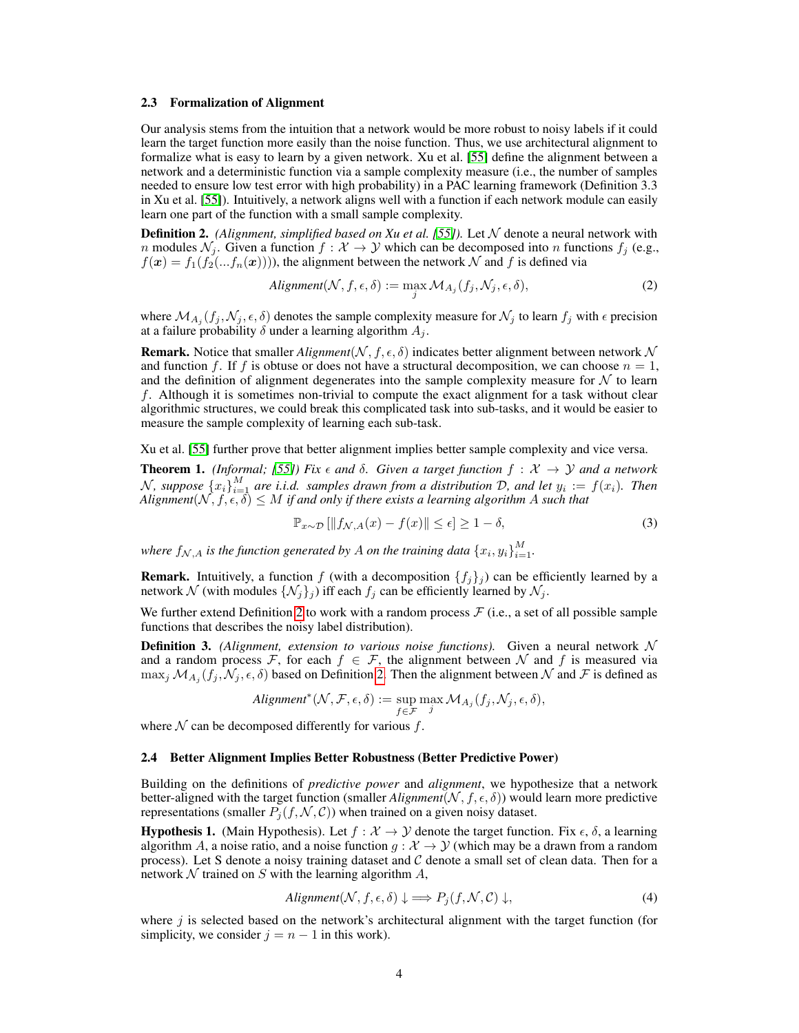#### <span id="page-3-0"></span>2.3 Formalization of Alignment

Our analysis stems from the intuition that a network would be more robust to noisy labels if it could learn the target function more easily than the noise function. Thus, we use architectural alignment to formalize what is easy to learn by a given network. Xu et al. [\[55\]](#page-13-0) define the alignment between a network and a deterministic function via a sample complexity measure (i.e., the number of samples needed to ensure low test error with high probability) in a PAC learning framework (Definition 3.3 in Xu et al. [\[55\]](#page-13-0)). Intuitively, a network aligns well with a function if each network module can easily learn one part of the function with a small sample complexity.

<span id="page-3-1"></span>**Definition 2.** *(Alignment, simplified based on Xu et al. [\[55\]](#page-13-0)).* Let  $N$  denote a neural network with n modules  $\mathcal{N}_j$ . Given a function  $f : \mathcal{X} \to \mathcal{Y}$  which can be decomposed into n functions  $f_j$  (e.g.,  $f(\mathbf{x}) = f_1(f_2(...f_n(\mathbf{x}))))$ , the alignment between the network N and f is defined via

$$
Alignment(N, f, \epsilon, \delta) := \max_{j} \mathcal{M}_{A_j}(f_j, \mathcal{N}_j, \epsilon, \delta), \tag{2}
$$

where  $\mathcal{M}_{A_j}(f_j, \mathcal{N}_j, \epsilon, \delta)$  denotes the sample complexity measure for  $\mathcal{N}_j$  to learn  $f_j$  with  $\epsilon$  precision at a failure probability  $\delta$  under a learning algorithm  $A_i$ .

**Remark.** Notice that smaller *Alignment*( $N, f, \epsilon, \delta$ ) indicates better alignment between network  $N$ and function f. If f is obtuse or does not have a structural decomposition, we can choose  $n = 1$ , and the definition of alignment degenerates into the sample complexity measure for  $N$  to learn f. Although it is sometimes non-trivial to compute the exact alignment for a task without clear algorithmic structures, we could break this complicated task into sub-tasks, and it would be easier to measure the sample complexity of learning each sub-task.

Xu et al. [\[55\]](#page-13-0) further prove that better alignment implies better sample complexity and vice versa.

**Theorem 1.** *(Informal; [\[55\]](#page-13-0)) Fix*  $\epsilon$  *and*  $\delta$ *. Given a target function*  $f : \mathcal{X} \to \mathcal{Y}$  *and a network* N, suppose  $\{x_i\}_{i=1}^M$  are i.i.d. samples drawn from a distribution D, and let  $y_i := f(x_i)$ . Then  $\textit{Alignment}( \mathcal{N}, f, \epsilon, \delta) \leq M \textit{ if and only if there exists a learning algorithm } A \textit{ such that }$ 

$$
\mathbb{P}_{x \sim \mathcal{D}} \left[ \|f_{\mathcal{N},A}(x) - f(x)\| \le \epsilon \right] \ge 1 - \delta,\tag{3}
$$

where  $f_{\mathcal{N},A}$  is the function generated by A on the training data  $\left\{x_i, y_i\right\}_{i=1}^M$ .

**Remark.** Intuitively, a function f (with a decomposition  $\{f_i\}_i$ ) can be efficiently learned by a network  $\mathcal N$  (with modules  $\{\mathcal N_j\}_j$ ) iff each  $f_j$  can be efficiently learned by  $\mathcal N_j$ .

We further extend Definition [2](#page-3-1) to work with a random process  $\mathcal F$  (i.e., a set of all possible sample functions that describes the noisy label distribution).

**Definition 3.** *(Alignment, extension to various noise functions)*. Given a neural network  $\mathcal N$ and a random process F, for each  $f \in \mathcal{F}$ , the alignment between N and f is measured via  $\max_j \mathcal{M}_{A_j}(f_j, \mathcal{N}_j, \epsilon, \delta)$  based on Definition [2.](#page-3-1) Then the alignment between  $\mathcal N$  and  $\mathcal F$  is defined as

$$
alignment^*(N, \mathcal{F}, \epsilon, \delta) := \sup_{f \in \mathcal{F}} \max_j \mathcal{M}_{A_j}(f_j, \mathcal{N}_j, \epsilon, \delta),
$$

where  $N$  can be decomposed differently for various  $f$ .

#### 2.4 Better Alignment Implies Better Robustness (Better Predictive Power)

Building on the definitions of *predictive power* and *alignment*, we hypothesize that a network better-aligned with the target function (smaller *Alignment*( $N, f, \epsilon, \delta$ )) would learn more predictive representations (smaller  $P_i(f, \mathcal{N}, \mathcal{C})$ ) when trained on a given noisy dataset.

**Hypothesis 1.** (Main Hypothesis). Let  $f : \mathcal{X} \to \mathcal{Y}$  denote the target function. Fix  $\epsilon$ ,  $\delta$ , a learning algorithm A, a noise ratio, and a noise function  $g: \mathcal{X} \to \mathcal{Y}$  (which may be a drawn from a random process). Let S denote a noisy training dataset and C denote a small set of clean data. Then for a network  $N$  trained on  $S$  with the learning algorithm  $A$ ,

$$
Alignment(N, f, \epsilon, \delta) \downarrow \Longrightarrow P_j(f, \mathcal{N}, \mathcal{C}) \downarrow,
$$
\n
$$
(4)
$$

where  $j$  is selected based on the network's architectural alignment with the target function (for simplicity, we consider  $j = n - 1$  in this work).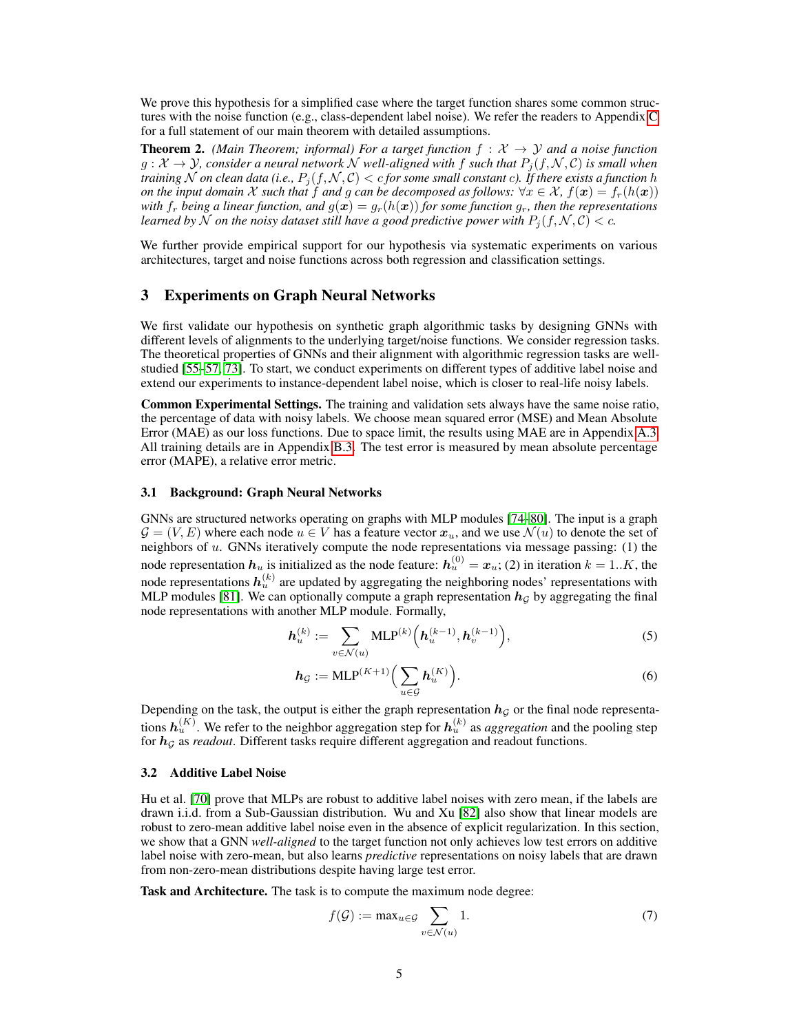We prove this hypothesis for a simplified case where the target function shares some common structures with the noise function (e.g., class-dependent label noise). We refer the readers to Appendix [C](#page-0-0) for a full statement of our main theorem with detailed assumptions.

<span id="page-4-0"></span>**Theorem 2.** *(Main Theorem; informal) For a target function*  $f : \mathcal{X} \rightarrow \mathcal{Y}$  *and a noise function*  $g: \mathcal{X} \to \mathcal{Y}$ , consider a neural network N well-aligned with f such that  $P_i(f, \mathcal{N}, \mathcal{C})$  is small when *training* N *on clean data* (*i.e.,*  $P_j(f, \mathcal{N}, \mathcal{C}) < c$  *for some small constant c). If there exists a function* h *on the input domain* X *such that* f *and* g *can be decomposed as follows:*  $\forall x \in \mathcal{X}$ ,  $f(x) = f_r(h(x))$ *with*  $f_r$  *being a linear function, and*  $g(x) = g_r(h(x))$  *for some function*  $g_r$ *, then the representations learned by* N *on the noisy dataset still have a good predictive power with*  $P_j(f, N, C) < c$ *.* 

We further provide empirical support for our hypothesis via systematic experiments on various architectures, target and noise functions across both regression and classification settings.

## 3 Experiments on Graph Neural Networks

We first validate our hypothesis on synthetic graph algorithmic tasks by designing GNNs with different levels of alignments to the underlying target/noise functions. We consider regression tasks. The theoretical properties of GNNs and their alignment with algorithmic regression tasks are wellstudied [\[55–](#page-13-0)[57,](#page-13-1) [73\]](#page-13-14). To start, we conduct experiments on different types of additive label noise and extend our experiments to instance-dependent label noise, which is closer to real-life noisy labels.

Common Experimental Settings. The training and validation sets always have the same noise ratio, the percentage of data with noisy labels. We choose mean squared error (MSE) and Mean Absolute Error (MAE) as our loss functions. Due to space limit, the results using MAE are in Appendix [A.3.](#page-0-0) All training details are in Appendix [B.3.](#page-0-0) The test error is measured by mean absolute percentage error (MAPE), a relative error metric.

## 3.1 Background: Graph Neural Networks

GNNs are structured networks operating on graphs with MLP modules [\[74–](#page-13-15)[80\]](#page-14-0). The input is a graph  $\mathcal{G} = (V, E)$  where each node  $u \in V$  has a feature vector  $x_u$ , and we use  $\mathcal{N}(u)$  to denote the set of neighbors of  $u$ . GNNs iteratively compute the node representations via message passing: (1) the node representation  $h_u$  is initialized as the node feature:  $h_u^{(0)} = x_u$ ; (2) in iteration  $k = 1..K$ , the node representations  $h_u^{(k)}$  are updated by aggregating the neighboring nodes' representations with MLP modules [\[81\]](#page-14-1). We can optionally compute a graph representation  $h<sub>G</sub>$  by aggregating the final node representations with another MLP module. Formally,

$$
\mathbf{h}_u^{(k)} := \sum_{v \in \mathcal{N}(u)} \text{MLP}^{(k)}\left(\mathbf{h}_u^{(k-1)}, \mathbf{h}_v^{(k-1)}\right),\tag{5}
$$

$$
h_{\mathcal{G}} := \text{MLP}^{(K+1)}\Big(\sum_{u \in \mathcal{G}} h_u^{(K)}\Big). \tag{6}
$$

Depending on the task, the output is either the graph representation  $h_{\mathcal{G}}$  or the final node representations  $h_u^{(K)}$ . We refer to the neighbor aggregation step for  $h_u^{(k)}$  as *aggregation* and the pooling step for  $h_G$  as *readout*. Different tasks require different aggregation and readout functions.

### 3.2 Additive Label Noise

Hu et al. [\[70\]](#page-13-11) prove that MLPs are robust to additive label noises with zero mean, if the labels are drawn i.i.d. from a Sub-Gaussian distribution. Wu and Xu [\[82\]](#page-14-2) also show that linear models are robust to zero-mean additive label noise even in the absence of explicit regularization. In this section, we show that a GNN *well-aligned* to the target function not only achieves low test errors on additive label noise with zero-mean, but also learns *predictive* representations on noisy labels that are drawn from non-zero-mean distributions despite having large test error.

Task and Architecture. The task is to compute the maximum node degree:

$$
f(\mathcal{G}) := \max_{u \in \mathcal{G}} \sum_{v \in \mathcal{N}(u)} 1.
$$
 (7)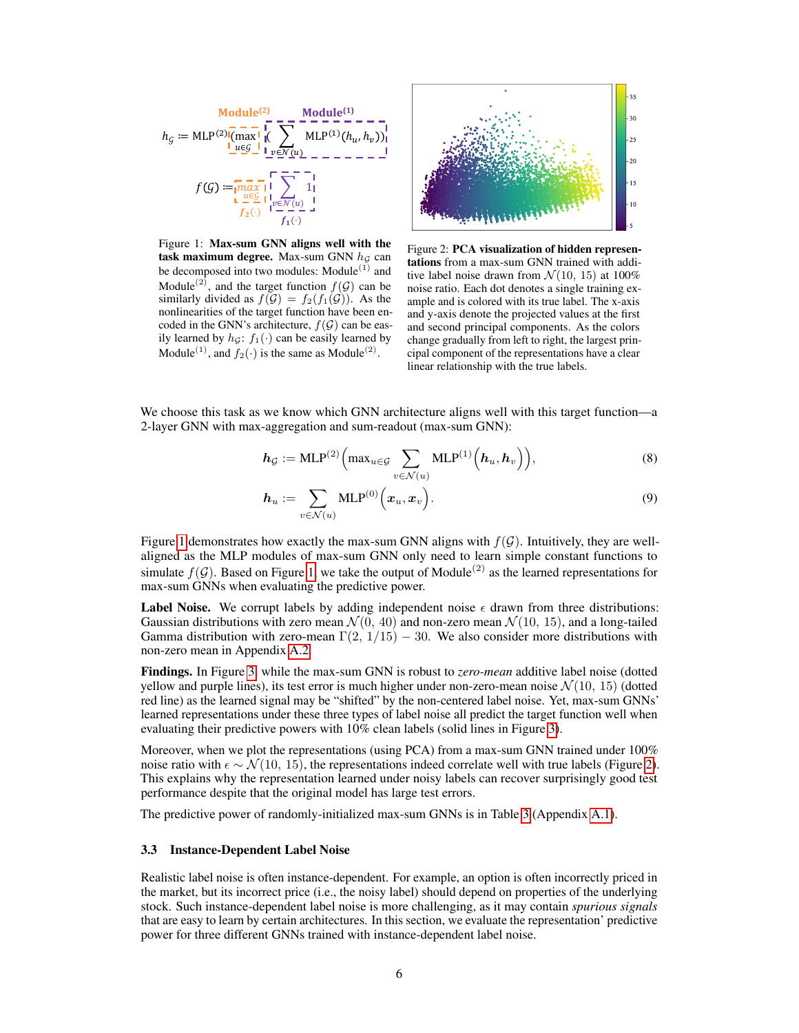<span id="page-5-0"></span>

Figure 1: Max-sum GNN aligns well with the task maximum degree. Max-sum GNN  $h<sub>G</sub>$  can be decomposed into two modules: Module $(1)$  and Module<sup>(2)</sup>, and the target function  $f(G)$  can be similarly divided as  $f(\mathcal{G}) = f_2(f_1(\mathcal{G}))$ . As the nonlinearities of the target function have been encoded in the GNN's architecture,  $f(\mathcal{G})$  can be easily learned by  $h_{\mathcal{G}}$ :  $f_1(\cdot)$  can be easily learned by Module<sup>(1)</sup>, and  $f_2(\cdot)$  is the same as Module<sup>(2)</sup>.



Figure 2: PCA visualization of hidden representations from a max-sum GNN trained with additive label noise drawn from  $\mathcal{N}(10, 15)$  at 100% noise ratio. Each dot denotes a single training example and is colored with its true label. The x-axis and y-axis denote the projected values at the first and second principal components. As the colors change gradually from left to right, the largest principal component of the representations have a clear linear relationship with the true labels.

We choose this task as we know which GNN architecture aligns well with this target function—a 2-layer GNN with max-aggregation and sum-readout (max-sum GNN):

$$
h_{\mathcal{G}} := \text{MLP}^{(2)}\left(\max_{u \in \mathcal{G}} \sum_{v \in \mathcal{N}(u)} \text{MLP}^{(1)}\left(h_u, h_v\right)\right),\tag{8}
$$

$$
\boldsymbol{h}_u := \sum_{v \in \mathcal{N}(u)} \text{MLP}^{(0)}\Big(\boldsymbol{x}_u, \boldsymbol{x}_v\Big). \tag{9}
$$

Figure [1](#page-5-0) demonstrates how exactly the max-sum GNN aligns with  $f(G)$ . Intuitively, they are wellaligned as the MLP modules of max-sum GNN only need to learn simple constant functions to simulate  $f(G)$ . Based on Figure [1,](#page-5-0) we take the output of Module<sup>(2)</sup> as the learned representations for max-sum GNNs when evaluating the predictive power.

**Label Noise.** We corrupt labels by adding independent noise  $\epsilon$  drawn from three distributions: Gaussian distributions with zero mean  $\mathcal{N}(0, 40)$  and non-zero mean  $\mathcal{N}(10, 15)$ , and a long-tailed Gamma distribution with zero-mean  $\Gamma(2, 1/15) - 30$ . We also consider more distributions with non-zero mean in Appendix [A.2.](#page-0-0)

Findings. In Figure [3,](#page-6-0) while the max-sum GNN is robust to *zero-mean* additive label noise (dotted yellow and purple lines), its test error is much higher under non-zero-mean noise  $\mathcal{N}(10, 15)$  (dotted red line) as the learned signal may be "shifted" by the non-centered label noise. Yet, max-sum GNNs' learned representations under these three types of label noise all predict the target function well when evaluating their predictive powers with 10% clean labels (solid lines in Figure [3\)](#page-6-0).

Moreover, when we plot the representations (using PCA) from a max-sum GNN trained under 100% noise ratio with  $\epsilon \sim \mathcal{N}(10, 15)$ , the representations indeed correlate well with true labels (Figure [2\)](#page-5-0). This explains why the representation learned under noisy labels can recover surprisingly good test performance despite that the original model has large test errors.

The predictive power of randomly-initialized max-sum GNNs is in Table [3](#page-0-0) (Appendix [A.1\)](#page-0-0).

### 3.3 Instance-Dependent Label Noise

Realistic label noise is often instance-dependent. For example, an option is often incorrectly priced in the market, but its incorrect price (i.e., the noisy label) should depend on properties of the underlying stock. Such instance-dependent label noise is more challenging, as it may contain *spurious signals* that are easy to learn by certain architectures. In this section, we evaluate the representation' predictive power for three different GNNs trained with instance-dependent label noise.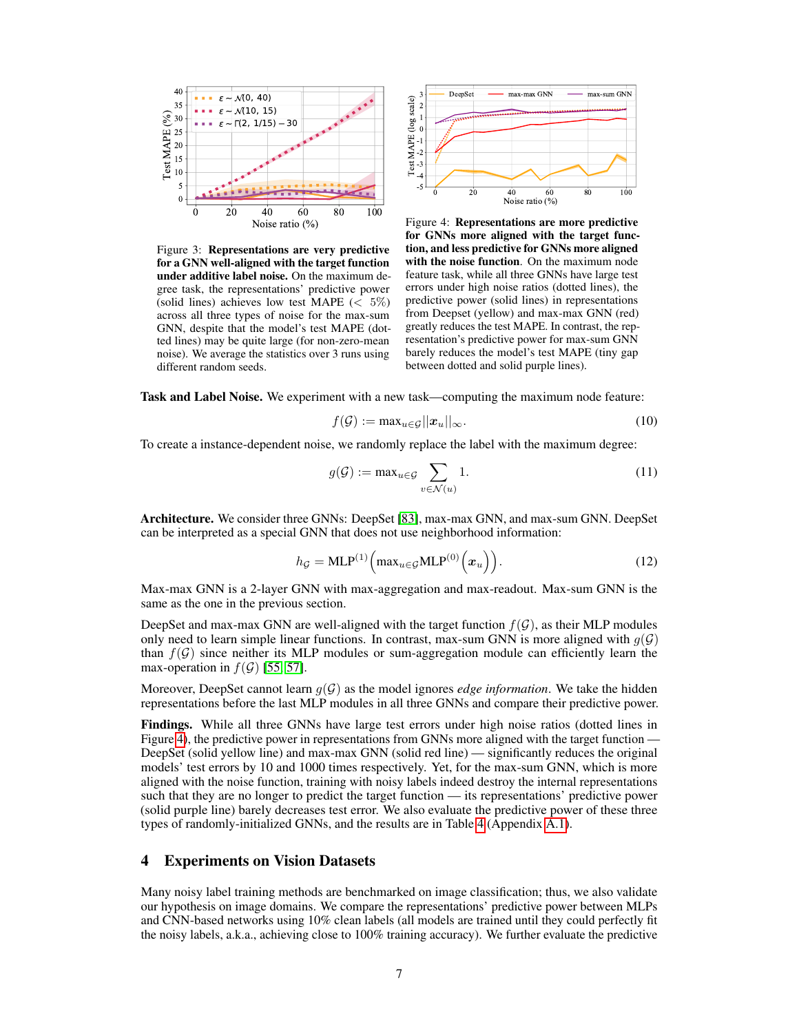<span id="page-6-0"></span>

Figure 3: Representations are very predictive for a GNN well-aligned with the target function under additive label noise. On the maximum degree task, the representations' predictive power (solid lines) achieves low test MAPE ( $< 5\%$ ) across all three types of noise for the max-sum GNN, despite that the model's test MAPE (dotted lines) may be quite large (for non-zero-mean noise). We average the statistics over 3 runs using different random seeds.



Figure 4: Representations are more predictive for GNNs more aligned with the target function, and less predictive for GNNs more aligned with the noise function. On the maximum node feature task, while all three GNNs have large test errors under high noise ratios (dotted lines), the predictive power (solid lines) in representations from Deepset (yellow) and max-max GNN (red) greatly reduces the test MAPE. In contrast, the representation's predictive power for max-sum GNN barely reduces the model's test MAPE (tiny gap between dotted and solid purple lines).

Task and Label Noise. We experiment with a new task—computing the maximum node feature:

$$
f(\mathcal{G}) := \max_{u \in \mathcal{G}} ||\mathbf{x}_u||_{\infty}.
$$
 (10)

To create a instance-dependent noise, we randomly replace the label with the maximum degree:

$$
g(\mathcal{G}) := \max_{u \in \mathcal{G}} \sum_{v \in \mathcal{N}(u)} 1.
$$
 (11)

Architecture. We consider three GNNs: DeepSet [\[83\]](#page-14-3), max-max GNN, and max-sum GNN. DeepSet can be interpreted as a special GNN that does not use neighborhood information:

$$
h_{\mathcal{G}} = \text{MLP}^{(1)}\left(\max_{u \in \mathcal{G}} \text{MLP}^{(0)}\left(x_u\right)\right). \tag{12}
$$

Max-max GNN is a 2-layer GNN with max-aggregation and max-readout. Max-sum GNN is the same as the one in the previous section.

DeepSet and max-max GNN are well-aligned with the target function  $f(\mathcal{G})$ , as their MLP modules only need to learn simple linear functions. In contrast, max-sum GNN is more aligned with  $q(\mathcal{G})$ than  $f(G)$  since neither its MLP modules or sum-aggregation module can efficiently learn the max-operation in  $f(G)$  [\[55,](#page-13-0) [57\]](#page-13-1).

Moreover, DeepSet cannot learn  $g(\mathcal{G})$  as the model ignores *edge information*. We take the hidden representations before the last MLP modules in all three GNNs and compare their predictive power.

Findings. While all three GNNs have large test errors under high noise ratios (dotted lines in Figure [4\)](#page-6-0), the predictive power in representations from GNNs more aligned with the target function — DeepSet (solid yellow line) and max-max GNN (solid red line) — significantly reduces the original models' test errors by 10 and 1000 times respectively. Yet, for the max-sum GNN, which is more aligned with the noise function, training with noisy labels indeed destroy the internal representations such that they are no longer to predict the target function — its representations' predictive power (solid purple line) barely decreases test error. We also evaluate the predictive power of these three types of randomly-initialized GNNs, and the results are in Table [4](#page-0-0) (Appendix [A.1\)](#page-0-0).

## 4 Experiments on Vision Datasets

Many noisy label training methods are benchmarked on image classification; thus, we also validate our hypothesis on image domains. We compare the representations' predictive power between MLPs and CNN-based networks using 10% clean labels (all models are trained until they could perfectly fit the noisy labels, a.k.a., achieving close to 100% training accuracy). We further evaluate the predictive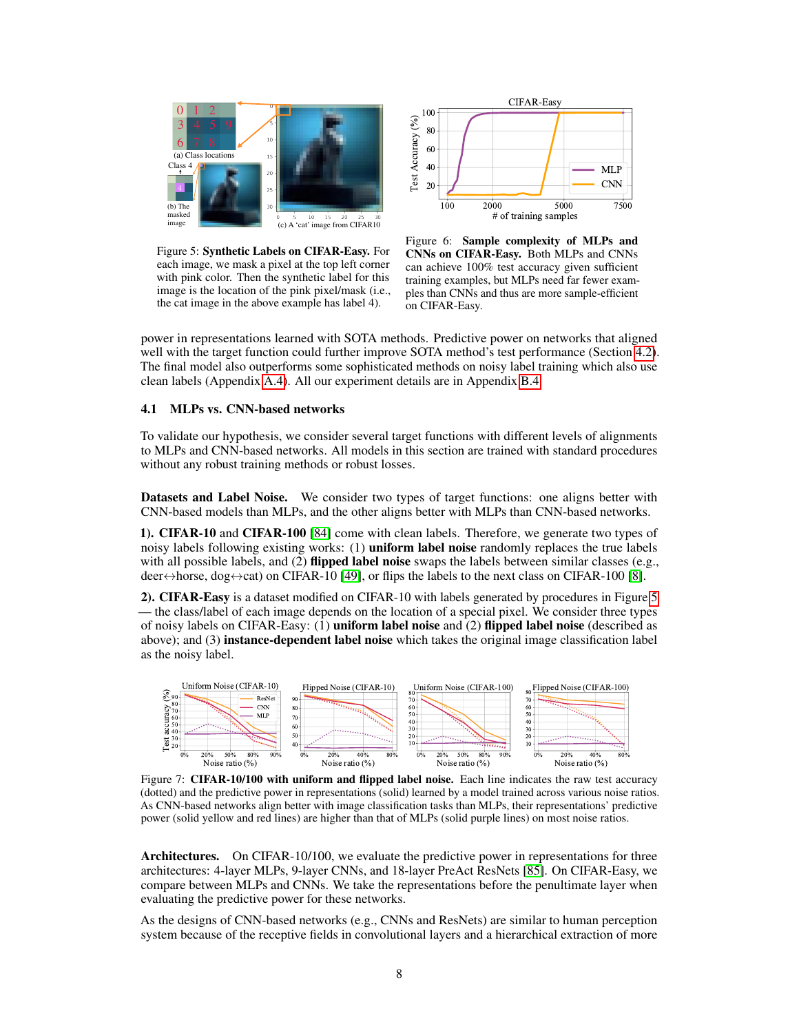<span id="page-7-0"></span>

Figure 5: Synthetic Labels on CIFAR-Easy. For each image, we mask a pixel at the top left corner with pink color. Then the synthetic label for this image is the location of the pink pixel/mask (i.e., the cat image in the above example has label 4).



Figure 6: Sample complexity of MLPs and CNNs on CIFAR-Easy. Both MLPs and CNNs can achieve 100% test accuracy given sufficient training examples, but MLPs need far fewer examples than CNNs and thus are more sample-efficient on CIFAR-Easy.

power in representations learned with SOTA methods. Predictive power on networks that aligned well with the target function could further improve SOTA method's test performance (Section [4.2\)](#page-9-0). The final model also outperforms some sophisticated methods on noisy label training which also use clean labels (Appendix [A.4\)](#page-0-0). All our experiment details are in Appendix [B.4.](#page-0-0)

## 4.1 MLPs vs. CNN-based networks

To validate our hypothesis, we consider several target functions with different levels of alignments to MLPs and CNN-based networks. All models in this section are trained with standard procedures without any robust training methods or robust losses.

Datasets and Label Noise. We consider two types of target functions: one aligns better with CNN-based models than MLPs, and the other aligns better with MLPs than CNN-based networks.

1). CIFAR-10 and CIFAR-100 [\[84\]](#page-14-4) come with clean labels. Therefore, we generate two types of noisy labels following existing works: (1) **uniform label noise** randomly replaces the true labels with all possible labels, and  $(2)$  flipped label noise swaps the labels between similar classes (e.g., deer $\leftrightarrow$ horse, dog $\leftrightarrow$ cat) on CIFAR-10 [\[49\]](#page-12-10), or flips the labels to the next class on CIFAR-100 [\[8\]](#page-10-4).

2). CIFAR-Easy is a dataset modified on CIFAR-10 with labels generated by procedures in Figure [5](#page-7-0) — the class/label of each image depends on the location of a special pixel. We consider three types of noisy labels on CIFAR-Easy: (1) uniform label noise and (2) flipped label noise (described as above); and (3) instance-dependent label noise which takes the original image classification label as the noisy label.

<span id="page-7-1"></span>

Figure 7: CIFAR-10/100 with uniform and flipped label noise. Each line indicates the raw test accuracy (dotted) and the predictive power in representations (solid) learned by a model trained across various noise ratios. As CNN-based networks align better with image classification tasks than MLPs, their representations' predictive power (solid yellow and red lines) are higher than that of MLPs (solid purple lines) on most noise ratios.

Architectures. On CIFAR-10/100, we evaluate the predictive power in representations for three architectures: 4-layer MLPs, 9-layer CNNs, and 18-layer PreAct ResNets [\[85\]](#page-14-5). On CIFAR-Easy, we compare between MLPs and CNNs. We take the representations before the penultimate layer when evaluating the predictive power for these networks.

As the designs of CNN-based networks (e.g., CNNs and ResNets) are similar to human perception system because of the receptive fields in convolutional layers and a hierarchical extraction of more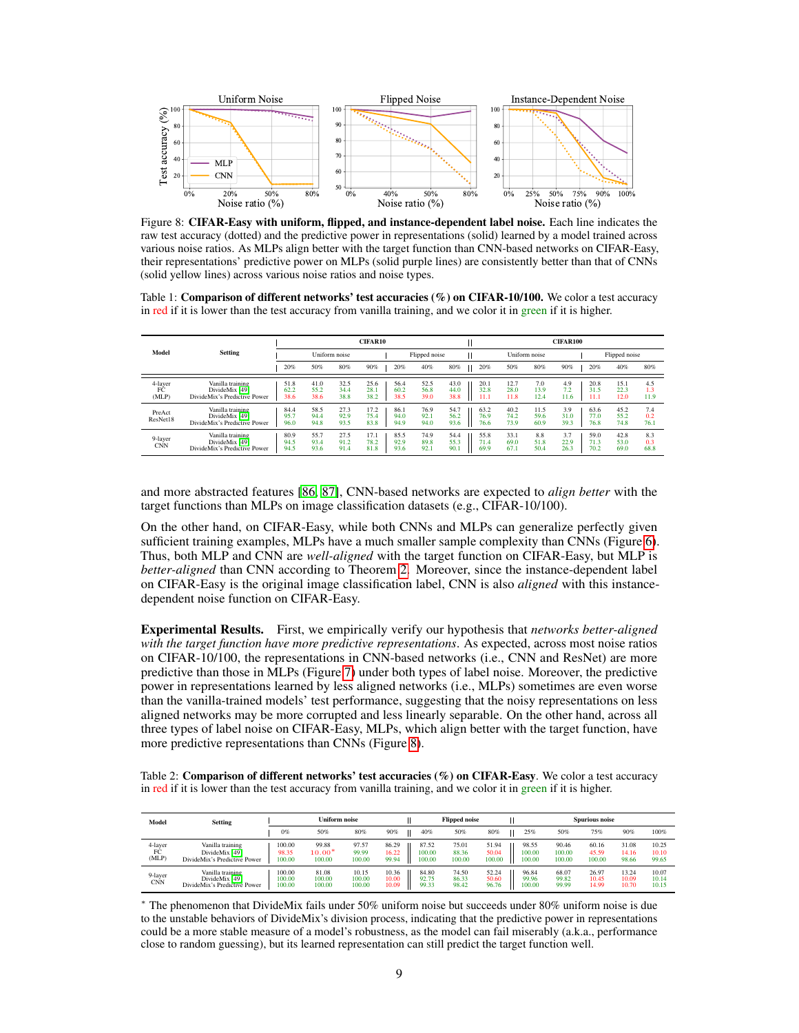<span id="page-8-0"></span>

Figure 8: CIFAR-Easy with uniform, flipped, and instance-dependent label noise. Each line indicates the raw test accuracy (dotted) and the predictive power in representations (solid) learned by a model trained across various noise ratios. As MLPs align better with the target function than CNN-based networks on CIFAR-Easy, their representations' predictive power on MLPs (solid purple lines) are consistently better than that of CNNs (solid yellow lines) across various noise ratios and noise types.

<span id="page-8-1"></span>Table 1: Comparison of different networks' test accuracies (%) on CIFAR-10/100. We color a test accuracy in red if it is lower than the test accuracy from vanilla training, and we color it in green if it is higher.

|                        | <b>Setting</b>                                                     | <b>CIFAR10</b>       |                      |                      |                      |  |                      |                      |                      |  |                      |                      |                      | CIFAR100            |  |                      |                      |                    |
|------------------------|--------------------------------------------------------------------|----------------------|----------------------|----------------------|----------------------|--|----------------------|----------------------|----------------------|--|----------------------|----------------------|----------------------|---------------------|--|----------------------|----------------------|--------------------|
| Model                  |                                                                    | Uniform noise        |                      |                      |                      |  |                      | Flipped noise        |                      |  |                      | Uniform noise        |                      |                     |  | Flipped noise        |                      |                    |
|                        |                                                                    | 20%                  | 50%                  | 80%                  | 90%                  |  | 20%                  | 40%                  | 80%                  |  | 20%                  | 50%                  | 80%                  | 90%                 |  | 20%                  | 40%                  | 80%                |
| 4-laver<br>FĈ<br>(MLP) | Vanilla training<br>DivideMix [49]<br>DivideMix's Predictive Power | 51.8<br>62.2<br>38.6 | 41.0<br>55.2<br>38.6 | 32.5<br>34.4<br>38.8 | 25.6<br>28.1<br>38.2 |  | 56.4<br>60.2<br>38.5 | 52.5<br>56.8<br>39.0 | 43.0<br>44.0<br>38.8 |  | 20.1<br>32.8<br>11.1 | 12.7<br>28.0<br>11.8 | 7.0<br>13.9<br>12.4  | 4.9<br>7.2<br>11.6  |  | 20.8<br>31.5<br>11.1 | 15.1<br>22.3<br>12.0 | 4.5<br>1.3<br>11.9 |
| PreAct<br>ResNet18     | Vanilla training<br>DivideMix [49]<br>DivideMix's Predictive Power | 84.4<br>95.7<br>96.0 | 58.5<br>94.4<br>94.8 | 27.3<br>92.9<br>93.5 | 17.2<br>75.4<br>83.8 |  | 86.1<br>94.0<br>94.9 | 76.9<br>92.1<br>94.0 | 54.7<br>56.2<br>93.6 |  | 63.2<br>76.9<br>76.6 | 40.2<br>74.2<br>73.9 | 11.5<br>59.6<br>60.9 | 3.9<br>31.0<br>39.3 |  | 63.6<br>77.0<br>76.8 | 45.2<br>55.2<br>74.8 | 7.4<br>0.2<br>76.1 |
| 9-layer<br><b>CNN</b>  | Vanilla training<br>DivideMix [49]<br>DivideMix's Predictive Power | 80.9<br>94.5<br>94.5 | 55.7<br>93.4<br>93.6 | 27.5<br>91.2<br>91.4 | 17.1<br>78.2<br>81.8 |  | 85.5<br>92.9<br>93.6 | 74.9<br>89.8<br>92.1 | 54.4<br>55.3<br>90.1 |  | 55.8<br>71.4<br>69.9 | 33.1<br>69.0<br>67.1 | 8.8<br>51.8<br>50.4  | 3.7<br>22.9<br>26.3 |  | 59.0<br>71.3<br>70.2 | 42.8<br>53.0<br>69.0 | 8.3<br>0.3<br>68.8 |

and more abstracted features [\[86,](#page-14-6) [87\]](#page-14-7), CNN-based networks are expected to *align better* with the target functions than MLPs on image classification datasets (e.g., CIFAR-10/100).

On the other hand, on CIFAR-Easy, while both CNNs and MLPs can generalize perfectly given sufficient training examples, MLPs have a much smaller sample complexity than CNNs (Figure [6\)](#page-7-0). Thus, both MLP and CNN are *well-aligned* with the target function on CIFAR-Easy, but MLP is *better-aligned* than CNN according to Theorem [2.](#page-4-0) Moreover, since the instance-dependent label on CIFAR-Easy is the original image classification label, CNN is also *aligned* with this instancedependent noise function on CIFAR-Easy.

Experimental Results. First, we empirically verify our hypothesis that *networks better-aligned with the target function have more predictive representations*. As expected, across most noise ratios on CIFAR-10/100, the representations in CNN-based networks (i.e., CNN and ResNet) are more predictive than those in MLPs (Figure [7\)](#page-7-1) under both types of label noise. Moreover, the predictive power in representations learned by less aligned networks (i.e., MLPs) sometimes are even worse than the vanilla-trained models' test performance, suggesting that the noisy representations on less aligned networks may be more corrupted and less linearly separable. On the other hand, across all three types of label noise on CIFAR-Easy, MLPs, which align better with the target function, have more predictive representations than CNNs (Figure [8\)](#page-8-0).

<span id="page-8-2"></span>Table 2: Comparison of different networks' test accuracies (%) on CIFAR-Easy. We color a test accuracy in red if it is lower than the test accuracy from vanilla training, and we color it in green if it is higher.

| Model                  | <b>Setting</b>                                                     | Jniform noise              |                             |                           |                         |  |                           | <b>Flipped noise</b>     |                          |  |                           | Spurious noise            |                          |                         |                         |
|------------------------|--------------------------------------------------------------------|----------------------------|-----------------------------|---------------------------|-------------------------|--|---------------------------|--------------------------|--------------------------|--|---------------------------|---------------------------|--------------------------|-------------------------|-------------------------|
|                        |                                                                    | 0%                         | 50%                         | 80%                       | 90%                     |  | 40%                       | 50%                      | 80%                      |  | 25%                       | 50%                       | 75%                      | 90%                     | 100%                    |
| 4-layer<br>FĊ<br>(MLP) | Vanilla training<br>DivideMix [49]<br>DivideMix's Predictive Power | 100.00<br>98.35<br>100.00  | 99.88<br>$10.00*$<br>100.00 | 97.57<br>99.99<br>100.00  | 86.29<br>16.22<br>99.94 |  | 87.52<br>100.00<br>100.00 | 75.01<br>88.36<br>100.00 | 51.94<br>50.04<br>100.00 |  | 98.55<br>100.00<br>100.00 | 90.46<br>100.00<br>100.00 | 60.16<br>45.59<br>100.00 | 31.08<br>14.16<br>98.66 | 10.25<br>10.10<br>99.65 |
| 9-layer<br><b>CNN</b>  | Vanilla training<br>DivideMix [49]<br>DivideMix's Predictive Power | 100.00<br>100.00<br>100.00 | 81.08<br>100.00<br>100.00   | 10.15<br>100.00<br>100.00 | 10.36<br>10.00<br>10.09 |  | 84.80<br>92.75<br>99.33   | 74.50<br>86.33<br>98.42  | 52.24<br>50.60<br>96.76  |  | 96.84<br>99.96<br>100.00  | 68.07<br>99.82<br>99.99   | 26.97<br>10.45<br>14.99  | 13.24<br>10.09<br>10.70 | 10.07<br>10.14<br>10.15 |

<sup>∗</sup> The phenomenon that DivideMix fails under 50% uniform noise but succeeds under 80% uniform noise is due to the unstable behaviors of DivideMix's division process, indicating that the predictive power in representations could be a more stable measure of a model's robustness, as the model can fail miserably (a.k.a., performance close to random guessing), but its learned representation can still predict the target function well.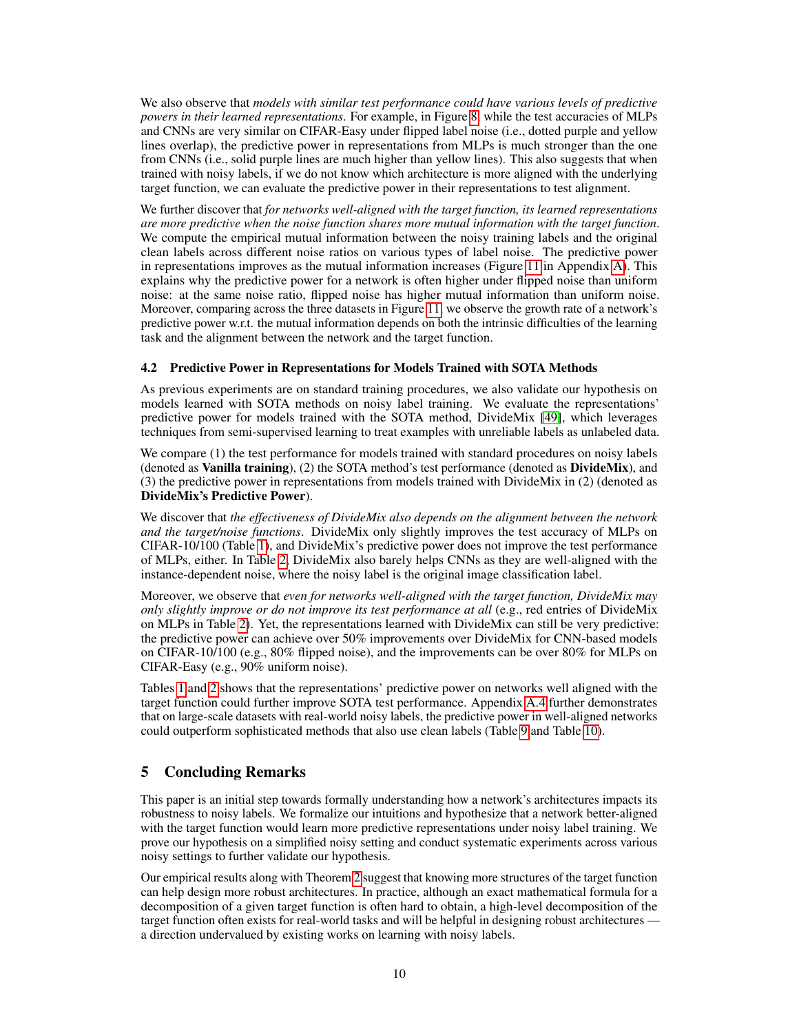We also observe that *models with similar test performance could have various levels of predictive powers in their learned representations*. For example, in Figure [8,](#page-8-0) while the test accuracies of MLPs and CNNs are very similar on CIFAR-Easy under flipped label noise (i.e., dotted purple and yellow lines overlap), the predictive power in representations from MLPs is much stronger than the one from CNNs (i.e., solid purple lines are much higher than yellow lines). This also suggests that when trained with noisy labels, if we do not know which architecture is more aligned with the underlying target function, we can evaluate the predictive power in their representations to test alignment.

We further discover that *for networks well-aligned with the target function, its learned representations are more predictive when the noise function shares more mutual information with the target function*. We compute the empirical mutual information between the noisy training labels and the original clean labels across different noise ratios on various types of label noise. The predictive power in representations improves as the mutual information increases (Figure [11](#page-0-0) in Appendix [A\)](#page-0-0). This explains why the predictive power for a network is often higher under flipped noise than uniform noise: at the same noise ratio, flipped noise has higher mutual information than uniform noise. Moreover, comparing across the three datasets in Figure [11,](#page-0-0) we observe the growth rate of a network's predictive power w.r.t. the mutual information depends on both the intrinsic difficulties of the learning task and the alignment between the network and the target function.

## <span id="page-9-0"></span>4.2 Predictive Power in Representations for Models Trained with SOTA Methods

As previous experiments are on standard training procedures, we also validate our hypothesis on models learned with SOTA methods on noisy label training. We evaluate the representations' predictive power for models trained with the SOTA method, DivideMix [\[49\]](#page-12-10), which leverages techniques from semi-supervised learning to treat examples with unreliable labels as unlabeled data.

We compare (1) the test performance for models trained with standard procedures on noisy labels (denoted as Vanilla training), (2) the SOTA method's test performance (denoted as DivideMix), and (3) the predictive power in representations from models trained with DivideMix in (2) (denoted as DivideMix's Predictive Power).

We discover that *the effectiveness of DivideMix also depends on the alignment between the network and the target/noise functions*. DivideMix only slightly improves the test accuracy of MLPs on CIFAR-10/100 (Table [1\)](#page-8-1), and DivideMix's predictive power does not improve the test performance of MLPs, either. In Table [2,](#page-8-2) DivideMix also barely helps CNNs as they are well-aligned with the instance-dependent noise, where the noisy label is the original image classification label.

Moreover, we observe that *even for networks well-aligned with the target function, DivideMix may only slightly improve or do not improve its test performance at all* (e.g., red entries of DivideMix on MLPs in Table [2\)](#page-8-2). Yet, the representations learned with DivideMix can still be very predictive: the predictive power can achieve over 50% improvements over DivideMix for CNN-based models on CIFAR-10/100 (e.g., 80% flipped noise), and the improvements can be over 80% for MLPs on CIFAR-Easy (e.g., 90% uniform noise).

Tables [1](#page-8-1) and [2](#page-8-2) shows that the representations' predictive power on networks well aligned with the target function could further improve SOTA test performance. Appendix [A.4](#page-0-0) further demonstrates that on large-scale datasets with real-world noisy labels, the predictive power in well-aligned networks could outperform sophisticated methods that also use clean labels (Table [9](#page-0-0) and Table [10\)](#page-0-0).

# 5 Concluding Remarks

This paper is an initial step towards formally understanding how a network's architectures impacts its robustness to noisy labels. We formalize our intuitions and hypothesize that a network better-aligned with the target function would learn more predictive representations under noisy label training. We prove our hypothesis on a simplified noisy setting and conduct systematic experiments across various noisy settings to further validate our hypothesis.

Our empirical results along with Theorem [2](#page-4-0) suggest that knowing more structures of the target function can help design more robust architectures. In practice, although an exact mathematical formula for a decomposition of a given target function is often hard to obtain, a high-level decomposition of the target function often exists for real-world tasks and will be helpful in designing robust architectures a direction undervalued by existing works on learning with noisy labels.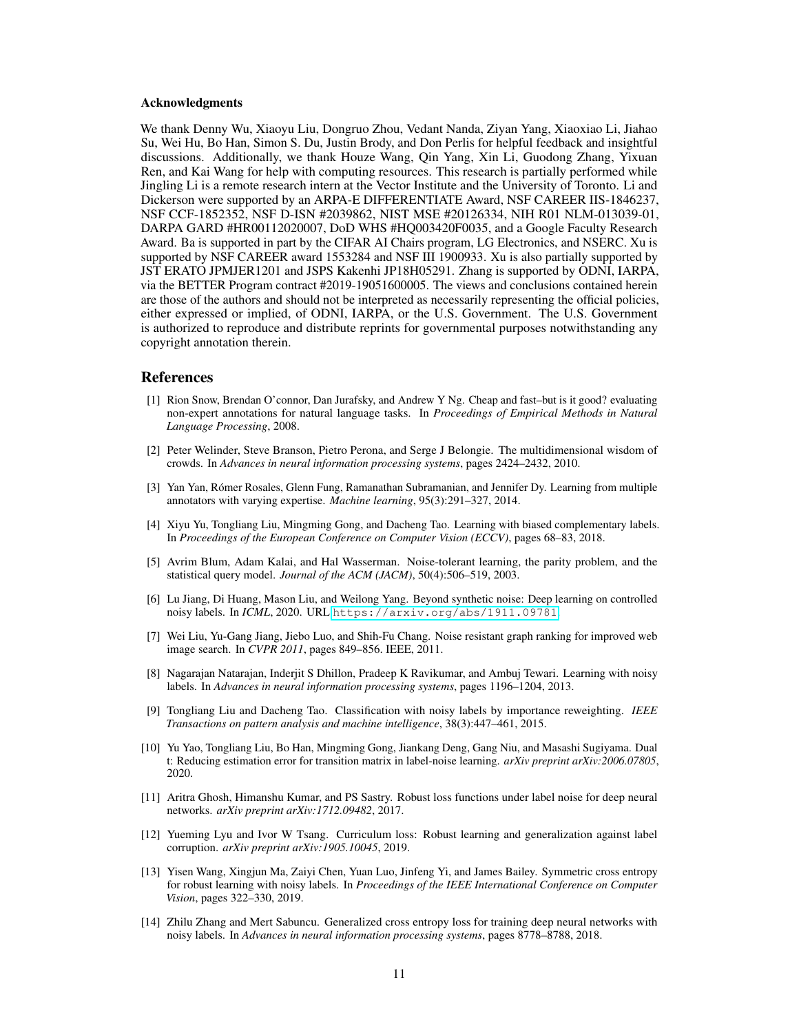#### Acknowledgments

We thank Denny Wu, Xiaoyu Liu, Dongruo Zhou, Vedant Nanda, Ziyan Yang, Xiaoxiao Li, Jiahao Su, Wei Hu, Bo Han, Simon S. Du, Justin Brody, and Don Perlis for helpful feedback and insightful discussions. Additionally, we thank Houze Wang, Qin Yang, Xin Li, Guodong Zhang, Yixuan Ren, and Kai Wang for help with computing resources. This research is partially performed while Jingling Li is a remote research intern at the Vector Institute and the University of Toronto. Li and Dickerson were supported by an ARPA-E DIFFERENTIATE Award, NSF CAREER IIS-1846237, NSF CCF-1852352, NSF D-ISN #2039862, NIST MSE #20126334, NIH R01 NLM-013039-01, DARPA GARD #HR00112020007, DoD WHS #HQ003420F0035, and a Google Faculty Research Award. Ba is supported in part by the CIFAR AI Chairs program, LG Electronics, and NSERC. Xu is supported by NSF CAREER award 1553284 and NSF III 1900933. Xu is also partially supported by JST ERATO JPMJER1201 and JSPS Kakenhi JP18H05291. Zhang is supported by ODNI, IARPA, via the BETTER Program contract #2019-19051600005. The views and conclusions contained herein are those of the authors and should not be interpreted as necessarily representing the official policies, either expressed or implied, of ODNI, IARPA, or the U.S. Government. The U.S. Government is authorized to reproduce and distribute reprints for governmental purposes notwithstanding any copyright annotation therein.

#### References

- <span id="page-10-0"></span>[1] Rion Snow, Brendan O'connor, Dan Jurafsky, and Andrew Y Ng. Cheap and fast–but is it good? evaluating non-expert annotations for natural language tasks. In *Proceedings of Empirical Methods in Natural Language Processing*, 2008.
- [2] Peter Welinder, Steve Branson, Pietro Perona, and Serge J Belongie. The multidimensional wisdom of crowds. In *Advances in neural information processing systems*, pages 2424–2432, 2010.
- [3] Yan Yan, Rómer Rosales, Glenn Fung, Ramanathan Subramanian, and Jennifer Dy. Learning from multiple annotators with varying expertise. *Machine learning*, 95(3):291–327, 2014.
- <span id="page-10-1"></span>[4] Xiyu Yu, Tongliang Liu, Mingming Gong, and Dacheng Tao. Learning with biased complementary labels. In *Proceedings of the European Conference on Computer Vision (ECCV)*, pages 68–83, 2018.
- <span id="page-10-2"></span>[5] Avrim Blum, Adam Kalai, and Hal Wasserman. Noise-tolerant learning, the parity problem, and the statistical query model. *Journal of the ACM (JACM)*, 50(4):506–519, 2003.
- [6] Lu Jiang, Di Huang, Mason Liu, and Weilong Yang. Beyond synthetic noise: Deep learning on controlled noisy labels. In *ICML*, 2020. URL <https://arxiv.org/abs/1911.09781>.
- <span id="page-10-3"></span>[7] Wei Liu, Yu-Gang Jiang, Jiebo Luo, and Shih-Fu Chang. Noise resistant graph ranking for improved web image search. In *CVPR 2011*, pages 849–856. IEEE, 2011.
- <span id="page-10-4"></span>[8] Nagarajan Natarajan, Inderjit S Dhillon, Pradeep K Ravikumar, and Ambuj Tewari. Learning with noisy labels. In *Advances in neural information processing systems*, pages 1196–1204, 2013.
- [9] Tongliang Liu and Dacheng Tao. Classification with noisy labels by importance reweighting. *IEEE Transactions on pattern analysis and machine intelligence*, 38(3):447–461, 2015.
- <span id="page-10-5"></span>[10] Yu Yao, Tongliang Liu, Bo Han, Mingming Gong, Jiankang Deng, Gang Niu, and Masashi Sugiyama. Dual t: Reducing estimation error for transition matrix in label-noise learning. *arXiv preprint arXiv:2006.07805*, 2020.
- <span id="page-10-6"></span>[11] Aritra Ghosh, Himanshu Kumar, and PS Sastry. Robust loss functions under label noise for deep neural networks. *arXiv preprint arXiv:1712.09482*, 2017.
- <span id="page-10-8"></span>[12] Yueming Lyu and Ivor W Tsang. Curriculum loss: Robust learning and generalization against label corruption. *arXiv preprint arXiv:1905.10045*, 2019.
- [13] Yisen Wang, Xingjun Ma, Zaiyi Chen, Yuan Luo, Jinfeng Yi, and James Bailey. Symmetric cross entropy for robust learning with noisy labels. In *Proceedings of the IEEE International Conference on Computer Vision*, pages 322–330, 2019.
- <span id="page-10-7"></span>[14] Zhilu Zhang and Mert Sabuncu. Generalized cross entropy loss for training deep neural networks with noisy labels. In *Advances in neural information processing systems*, pages 8778–8788, 2018.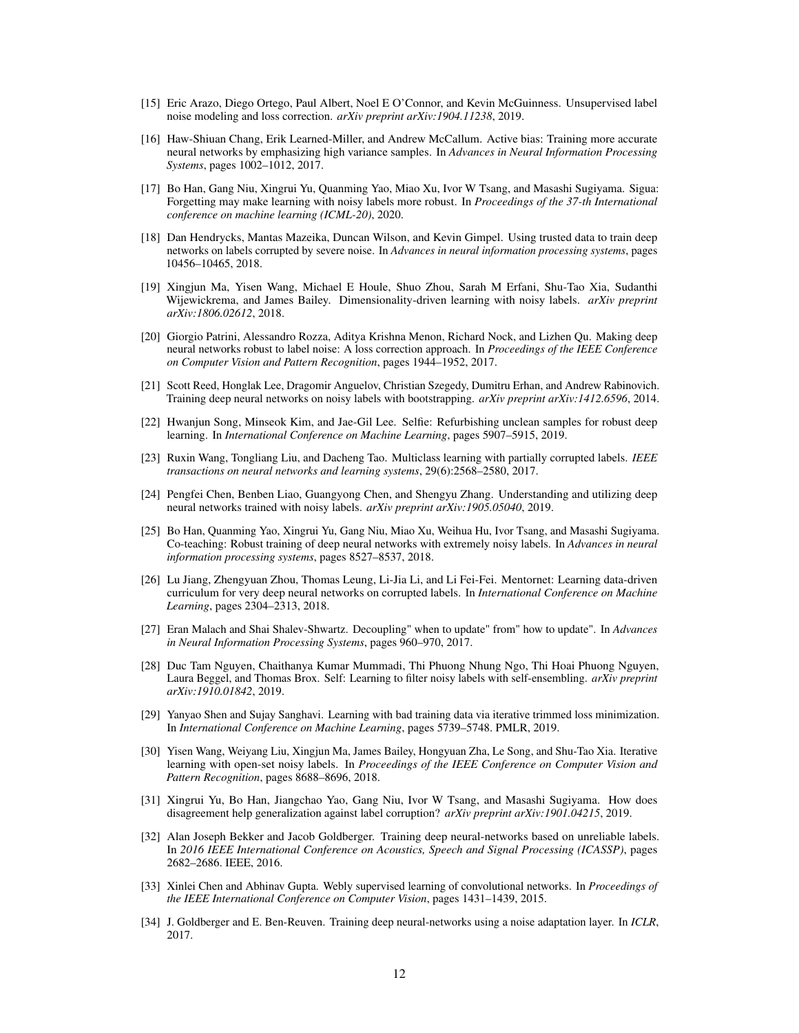- <span id="page-11-0"></span>[15] Eric Arazo, Diego Ortego, Paul Albert, Noel E O'Connor, and Kevin McGuinness. Unsupervised label noise modeling and loss correction. *arXiv preprint arXiv:1904.11238*, 2019.
- [16] Haw-Shiuan Chang, Erik Learned-Miller, and Andrew McCallum. Active bias: Training more accurate neural networks by emphasizing high variance samples. In *Advances in Neural Information Processing Systems*, pages 1002–1012, 2017.
- [17] Bo Han, Gang Niu, Xingrui Yu, Quanming Yao, Miao Xu, Ivor W Tsang, and Masashi Sugiyama. Sigua: Forgetting may make learning with noisy labels more robust. In *Proceedings of the 37-th International conference on machine learning (ICML-20)*, 2020.
- <span id="page-11-9"></span>[18] Dan Hendrycks, Mantas Mazeika, Duncan Wilson, and Kevin Gimpel. Using trusted data to train deep networks on labels corrupted by severe noise. In *Advances in neural information processing systems*, pages 10456–10465, 2018.
- [19] Xingjun Ma, Yisen Wang, Michael E Houle, Shuo Zhou, Sarah M Erfani, Shu-Tao Xia, Sudanthi Wijewickrema, and James Bailey. Dimensionality-driven learning with noisy labels. *arXiv preprint arXiv:1806.02612*, 2018.
- [20] Giorgio Patrini, Alessandro Rozza, Aditya Krishna Menon, Richard Nock, and Lizhen Qu. Making deep neural networks robust to label noise: A loss correction approach. In *Proceedings of the IEEE Conference on Computer Vision and Pattern Recognition*, pages 1944–1952, 2017.
- [21] Scott Reed, Honglak Lee, Dragomir Anguelov, Christian Szegedy, Dumitru Erhan, and Andrew Rabinovich. Training deep neural networks on noisy labels with bootstrapping. *arXiv preprint arXiv:1412.6596*, 2014.
- <span id="page-11-2"></span>[22] Hwanjun Song, Minseok Kim, and Jae-Gil Lee. Selfie: Refurbishing unclean samples for robust deep learning. In *International Conference on Machine Learning*, pages 5907–5915, 2019.
- <span id="page-11-1"></span>[23] Ruxin Wang, Tongliang Liu, and Dacheng Tao. Multiclass learning with partially corrupted labels. *IEEE transactions on neural networks and learning systems*, 29(6):2568–2580, 2017.
- <span id="page-11-3"></span>[24] Pengfei Chen, Benben Liao, Guangyong Chen, and Shengyu Zhang. Understanding and utilizing deep neural networks trained with noisy labels. *arXiv preprint arXiv:1905.05040*, 2019.
- <span id="page-11-7"></span>[25] Bo Han, Quanming Yao, Xingrui Yu, Gang Niu, Miao Xu, Weihua Hu, Ivor Tsang, and Masashi Sugiyama. Co-teaching: Robust training of deep neural networks with extremely noisy labels. In *Advances in neural information processing systems*, pages 8527–8537, 2018.
- <span id="page-11-8"></span>[26] Lu Jiang, Zhengyuan Zhou, Thomas Leung, Li-Jia Li, and Li Fei-Fei. Mentornet: Learning data-driven curriculum for very deep neural networks on corrupted labels. In *International Conference on Machine Learning*, pages 2304–2313, 2018.
- [27] Eran Malach and Shai Shalev-Shwartz. Decoupling" when to update" from" how to update". In *Advances in Neural Information Processing Systems*, pages 960–970, 2017.
- <span id="page-11-6"></span>[28] Duc Tam Nguyen, Chaithanya Kumar Mummadi, Thi Phuong Nhung Ngo, Thi Hoai Phuong Nguyen, Laura Beggel, and Thomas Brox. Self: Learning to filter noisy labels with self-ensembling. *arXiv preprint arXiv:1910.01842*, 2019.
- [29] Yanyao Shen and Sujay Sanghavi. Learning with bad training data via iterative trimmed loss minimization. In *International Conference on Machine Learning*, pages 5739–5748. PMLR, 2019.
- [30] Yisen Wang, Weiyang Liu, Xingjun Ma, James Bailey, Hongyuan Zha, Le Song, and Shu-Tao Xia. Iterative learning with open-set noisy labels. In *Proceedings of the IEEE Conference on Computer Vision and Pattern Recognition*, pages 8688–8696, 2018.
- <span id="page-11-4"></span>[31] Xingrui Yu, Bo Han, Jiangchao Yao, Gang Niu, Ivor W Tsang, and Masashi Sugiyama. How does disagreement help generalization against label corruption? *arXiv preprint arXiv:1901.04215*, 2019.
- <span id="page-11-5"></span>[32] Alan Joseph Bekker and Jacob Goldberger. Training deep neural-networks based on unreliable labels. In *2016 IEEE International Conference on Acoustics, Speech and Signal Processing (ICASSP)*, pages 2682–2686. IEEE, 2016.
- [33] Xinlei Chen and Abhinav Gupta. Webly supervised learning of convolutional networks. In *Proceedings of the IEEE International Conference on Computer Vision*, pages 1431–1439, 2015.
- [34] J. Goldberger and E. Ben-Reuven. Training deep neural-networks using a noise adaptation layer. In *ICLR*, 2017.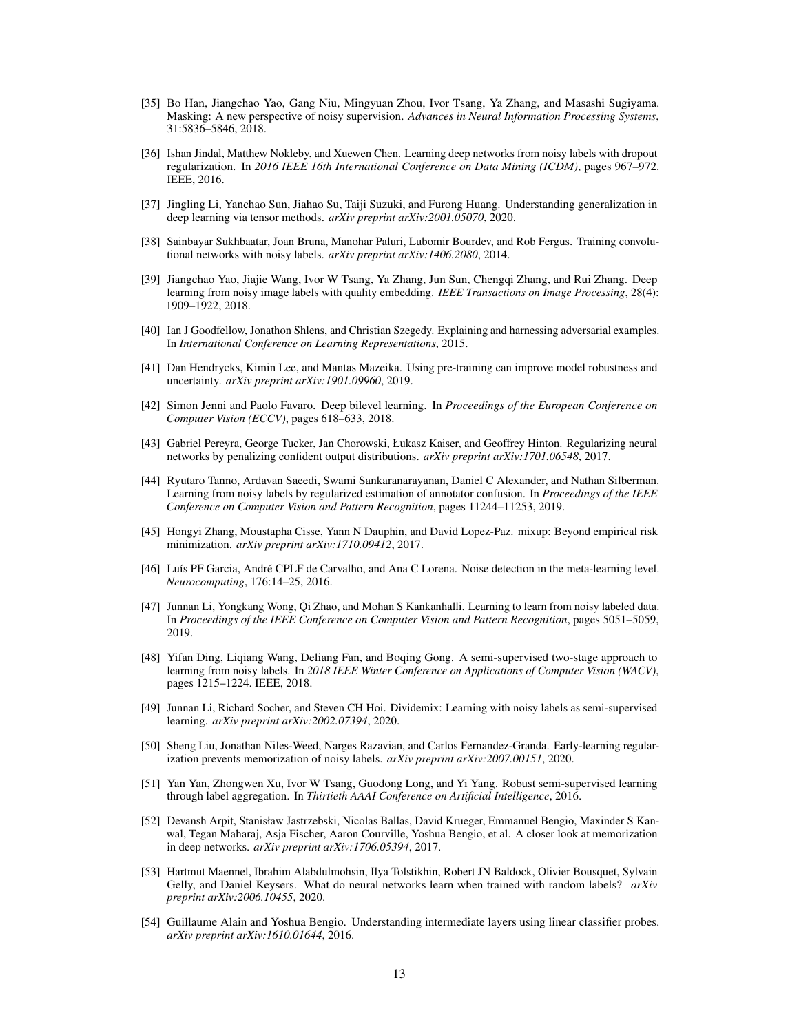- [35] Bo Han, Jiangchao Yao, Gang Niu, Mingyuan Zhou, Ivor Tsang, Ya Zhang, and Masashi Sugiyama. Masking: A new perspective of noisy supervision. *Advances in Neural Information Processing Systems*, 31:5836–5846, 2018.
- [36] Ishan Jindal, Matthew Nokleby, and Xuewen Chen. Learning deep networks from noisy labels with dropout regularization. In *2016 IEEE 16th International Conference on Data Mining (ICDM)*, pages 967–972. IEEE, 2016.
- [37] Jingling Li, Yanchao Sun, Jiahao Su, Taiji Suzuki, and Furong Huang. Understanding generalization in deep learning via tensor methods. *arXiv preprint arXiv:2001.05070*, 2020.
- [38] Sainbayar Sukhbaatar, Joan Bruna, Manohar Paluri, Lubomir Bourdev, and Rob Fergus. Training convolutional networks with noisy labels. *arXiv preprint arXiv:1406.2080*, 2014.
- <span id="page-12-0"></span>[39] Jiangchao Yao, Jiajie Wang, Ivor W Tsang, Ya Zhang, Jun Sun, Chengqi Zhang, and Rui Zhang. Deep learning from noisy image labels with quality embedding. *IEEE Transactions on Image Processing*, 28(4): 1909–1922, 2018.
- <span id="page-12-1"></span>[40] Ian J Goodfellow, Jonathon Shlens, and Christian Szegedy. Explaining and harnessing adversarial examples. In *International Conference on Learning Representations*, 2015.
- [41] Dan Hendrycks, Kimin Lee, and Mantas Mazeika. Using pre-training can improve model robustness and uncertainty. *arXiv preprint arXiv:1901.09960*, 2019.
- [42] Simon Jenni and Paolo Favaro. Deep bilevel learning. In *Proceedings of the European Conference on Computer Vision (ECCV)*, pages 618–633, 2018.
- [43] Gabriel Pereyra, George Tucker, Jan Chorowski, Łukasz Kaiser, and Geoffrey Hinton. Regularizing neural networks by penalizing confident output distributions. *arXiv preprint arXiv:1701.06548*, 2017.
- [44] Ryutaro Tanno, Ardavan Saeedi, Swami Sankaranarayanan, Daniel C Alexander, and Nathan Silberman. Learning from noisy labels by regularized estimation of annotator confusion. In *Proceedings of the IEEE Conference on Computer Vision and Pattern Recognition*, pages 11244–11253, 2019.
- <span id="page-12-2"></span>[45] Hongyi Zhang, Moustapha Cisse, Yann N Dauphin, and David Lopez-Paz. mixup: Beyond empirical risk minimization. *arXiv preprint arXiv:1710.09412*, 2017.
- <span id="page-12-3"></span>[46] Luís PF Garcia, André CPLF de Carvalho, and Ana C Lorena. Noise detection in the meta-learning level. *Neurocomputing*, 176:14–25, 2016.
- <span id="page-12-4"></span>[47] Junnan Li, Yongkang Wong, Qi Zhao, and Mohan S Kankanhalli. Learning to learn from noisy labeled data. In *Proceedings of the IEEE Conference on Computer Vision and Pattern Recognition*, pages 5051–5059, 2019.
- <span id="page-12-5"></span>[48] Yifan Ding, Liqiang Wang, Deliang Fan, and Boqing Gong. A semi-supervised two-stage approach to learning from noisy labels. In *2018 IEEE Winter Conference on Applications of Computer Vision (WACV)*, pages 1215–1224. IEEE, 2018.
- <span id="page-12-10"></span>[49] Junnan Li, Richard Socher, and Steven CH Hoi. Dividemix: Learning with noisy labels as semi-supervised learning. *arXiv preprint arXiv:2002.07394*, 2020.
- <span id="page-12-11"></span>[50] Sheng Liu, Jonathan Niles-Weed, Narges Razavian, and Carlos Fernandez-Granda. Early-learning regularization prevents memorization of noisy labels. *arXiv preprint arXiv:2007.00151*, 2020.
- <span id="page-12-6"></span>[51] Yan Yan, Zhongwen Xu, Ivor W Tsang, Guodong Long, and Yi Yang. Robust semi-supervised learning through label aggregation. In *Thirtieth AAAI Conference on Artificial Intelligence*, 2016.
- <span id="page-12-7"></span>[52] Devansh Arpit, Stanisław Jastrzebski, Nicolas Ballas, David Krueger, Emmanuel Bengio, Maxinder S Kanwal, Tegan Maharaj, Asja Fischer, Aaron Courville, Yoshua Bengio, et al. A closer look at memorization in deep networks. *arXiv preprint arXiv:1706.05394*, 2017.
- <span id="page-12-8"></span>[53] Hartmut Maennel, Ibrahim Alabdulmohsin, Ilya Tolstikhin, Robert JN Baldock, Olivier Bousquet, Sylvain Gelly, and Daniel Keysers. What do neural networks learn when trained with random labels? *arXiv preprint arXiv:2006.10455*, 2020.
- <span id="page-12-9"></span>[54] Guillaume Alain and Yoshua Bengio. Understanding intermediate layers using linear classifier probes. *arXiv preprint arXiv:1610.01644*, 2016.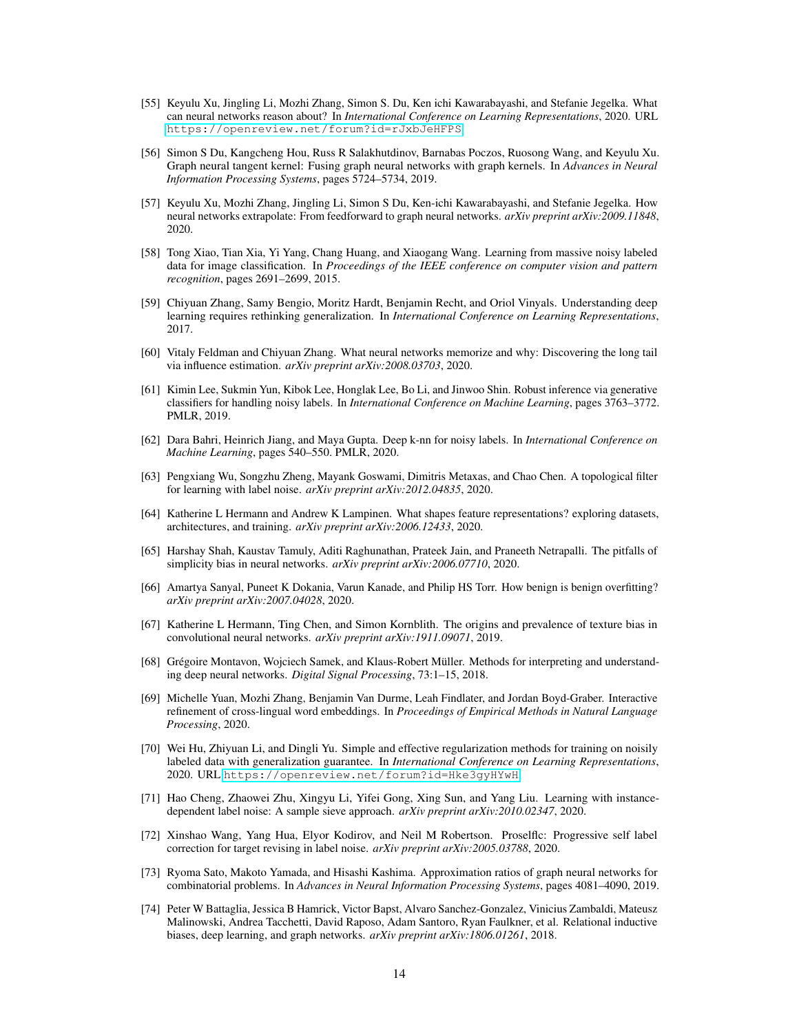- <span id="page-13-0"></span>[55] Keyulu Xu, Jingling Li, Mozhi Zhang, Simon S. Du, Ken ichi Kawarabayashi, and Stefanie Jegelka. What can neural networks reason about? In *International Conference on Learning Representations*, 2020. URL <https://openreview.net/forum?id=rJxbJeHFPS>.
- [56] Simon S Du, Kangcheng Hou, Russ R Salakhutdinov, Barnabas Poczos, Ruosong Wang, and Keyulu Xu. Graph neural tangent kernel: Fusing graph neural networks with graph kernels. In *Advances in Neural Information Processing Systems*, pages 5724–5734, 2019.
- <span id="page-13-1"></span>[57] Keyulu Xu, Mozhi Zhang, Jingling Li, Simon S Du, Ken-ichi Kawarabayashi, and Stefanie Jegelka. How neural networks extrapolate: From feedforward to graph neural networks. *arXiv preprint arXiv:2009.11848*, 2020.
- <span id="page-13-2"></span>[58] Tong Xiao, Tian Xia, Yi Yang, Chang Huang, and Xiaogang Wang. Learning from massive noisy labeled data for image classification. In *Proceedings of the IEEE conference on computer vision and pattern recognition*, pages 2691–2699, 2015.
- <span id="page-13-3"></span>[59] Chiyuan Zhang, Samy Bengio, Moritz Hardt, Benjamin Recht, and Oriol Vinyals. Understanding deep learning requires rethinking generalization. In *International Conference on Learning Representations*, 2017.
- <span id="page-13-4"></span>[60] Vitaly Feldman and Chiyuan Zhang. What neural networks memorize and why: Discovering the long tail via influence estimation. *arXiv preprint arXiv:2008.03703*, 2020.
- <span id="page-13-5"></span>[61] Kimin Lee, Sukmin Yun, Kibok Lee, Honglak Lee, Bo Li, and Jinwoo Shin. Robust inference via generative classifiers for handling noisy labels. In *International Conference on Machine Learning*, pages 3763–3772. PMLR, 2019.
- [62] Dara Bahri, Heinrich Jiang, and Maya Gupta. Deep k-nn for noisy labels. In *International Conference on Machine Learning*, pages 540–550. PMLR, 2020.
- <span id="page-13-6"></span>[63] Pengxiang Wu, Songzhu Zheng, Mayank Goswami, Dimitris Metaxas, and Chao Chen. A topological filter for learning with label noise. *arXiv preprint arXiv:2012.04835*, 2020.
- <span id="page-13-7"></span>[64] Katherine L Hermann and Andrew K Lampinen. What shapes feature representations? exploring datasets, architectures, and training. *arXiv preprint arXiv:2006.12433*, 2020.
- [65] Harshay Shah, Kaustav Tamuly, Aditi Raghunathan, Prateek Jain, and Praneeth Netrapalli. The pitfalls of simplicity bias in neural networks. *arXiv preprint arXiv:2006.07710*, 2020.
- <span id="page-13-8"></span>[66] Amartya Sanyal, Puneet K Dokania, Varun Kanade, and Philip HS Torr. How benign is benign overfitting? *arXiv preprint arXiv:2007.04028*, 2020.
- <span id="page-13-9"></span>[67] Katherine L Hermann, Ting Chen, and Simon Kornblith. The origins and prevalence of texture bias in convolutional neural networks. *arXiv preprint arXiv:1911.09071*, 2019.
- [68] Grégoire Montavon, Wojciech Samek, and Klaus-Robert Müller. Methods for interpreting and understanding deep neural networks. *Digital Signal Processing*, 73:1–15, 2018.
- <span id="page-13-10"></span>[69] Michelle Yuan, Mozhi Zhang, Benjamin Van Durme, Leah Findlater, and Jordan Boyd-Graber. Interactive refinement of cross-lingual word embeddings. In *Proceedings of Empirical Methods in Natural Language Processing*, 2020.
- <span id="page-13-11"></span>[70] Wei Hu, Zhiyuan Li, and Dingli Yu. Simple and effective regularization methods for training on noisily labeled data with generalization guarantee. In *International Conference on Learning Representations*, 2020. URL <https://openreview.net/forum?id=Hke3gyHYwH>.
- <span id="page-13-12"></span>[71] Hao Cheng, Zhaowei Zhu, Xingyu Li, Yifei Gong, Xing Sun, and Yang Liu. Learning with instancedependent label noise: A sample sieve approach. *arXiv preprint arXiv:2010.02347*, 2020.
- <span id="page-13-13"></span>[72] Xinshao Wang, Yang Hua, Elyor Kodirov, and Neil M Robertson. Proselflc: Progressive self label correction for target revising in label noise. *arXiv preprint arXiv:2005.03788*, 2020.
- <span id="page-13-14"></span>[73] Ryoma Sato, Makoto Yamada, and Hisashi Kashima. Approximation ratios of graph neural networks for combinatorial problems. In *Advances in Neural Information Processing Systems*, pages 4081–4090, 2019.
- <span id="page-13-15"></span>[74] Peter W Battaglia, Jessica B Hamrick, Victor Bapst, Alvaro Sanchez-Gonzalez, Vinicius Zambaldi, Mateusz Malinowski, Andrea Tacchetti, David Raposo, Adam Santoro, Ryan Faulkner, et al. Relational inductive biases, deep learning, and graph networks. *arXiv preprint arXiv:1806.01261*, 2018.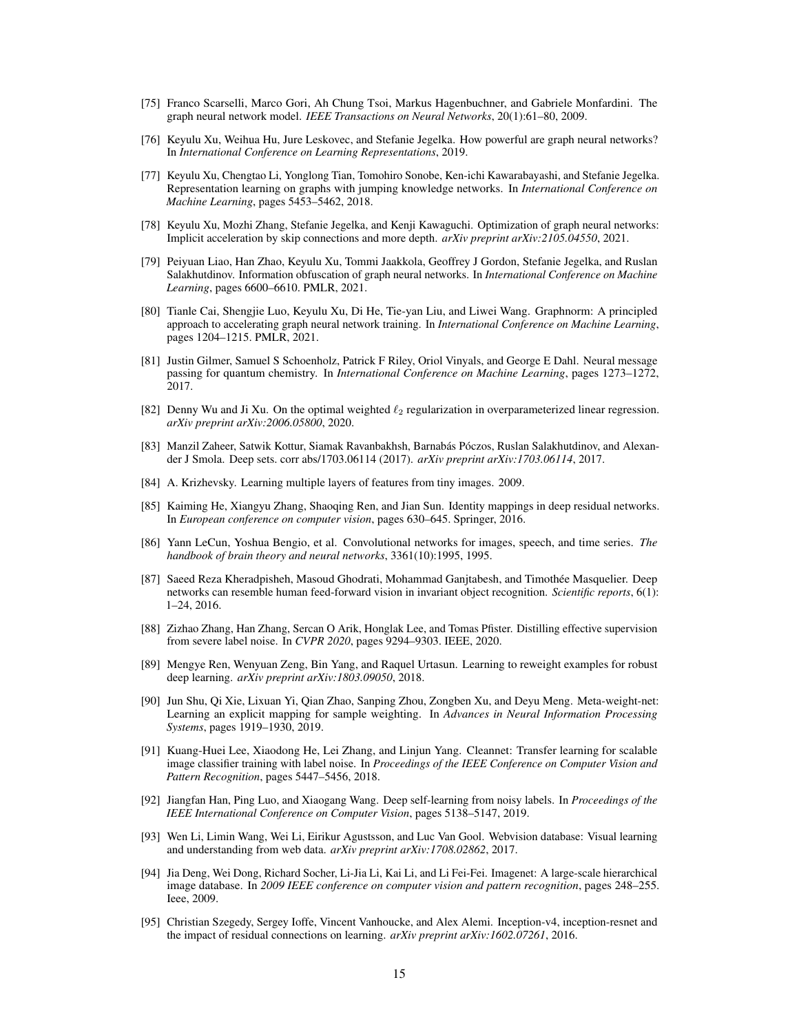- [75] Franco Scarselli, Marco Gori, Ah Chung Tsoi, Markus Hagenbuchner, and Gabriele Monfardini. The graph neural network model. *IEEE Transactions on Neural Networks*, 20(1):61–80, 2009.
- [76] Keyulu Xu, Weihua Hu, Jure Leskovec, and Stefanie Jegelka. How powerful are graph neural networks? In *International Conference on Learning Representations*, 2019.
- [77] Keyulu Xu, Chengtao Li, Yonglong Tian, Tomohiro Sonobe, Ken-ichi Kawarabayashi, and Stefanie Jegelka. Representation learning on graphs with jumping knowledge networks. In *International Conference on Machine Learning*, pages 5453–5462, 2018.
- [78] Keyulu Xu, Mozhi Zhang, Stefanie Jegelka, and Kenji Kawaguchi. Optimization of graph neural networks: Implicit acceleration by skip connections and more depth. *arXiv preprint arXiv:2105.04550*, 2021.
- [79] Peiyuan Liao, Han Zhao, Keyulu Xu, Tommi Jaakkola, Geoffrey J Gordon, Stefanie Jegelka, and Ruslan Salakhutdinov. Information obfuscation of graph neural networks. In *International Conference on Machine Learning*, pages 6600–6610. PMLR, 2021.
- <span id="page-14-0"></span>[80] Tianle Cai, Shengjie Luo, Keyulu Xu, Di He, Tie-yan Liu, and Liwei Wang. Graphnorm: A principled approach to accelerating graph neural network training. In *International Conference on Machine Learning*, pages 1204–1215. PMLR, 2021.
- <span id="page-14-1"></span>[81] Justin Gilmer, Samuel S Schoenholz, Patrick F Riley, Oriol Vinyals, and George E Dahl. Neural message passing for quantum chemistry. In *International Conference on Machine Learning*, pages 1273–1272, 2017.
- <span id="page-14-2"></span>[82] Denny Wu and Ji Xu. On the optimal weighted  $\ell_2$  regularization in overparameterized linear regression. *arXiv preprint arXiv:2006.05800*, 2020.
- <span id="page-14-3"></span>[83] Manzil Zaheer, Satwik Kottur, Siamak Ravanbakhsh, Barnabás Póczos, Ruslan Salakhutdinov, and Alexander J Smola. Deep sets. corr abs/1703.06114 (2017). *arXiv preprint arXiv:1703.06114*, 2017.
- <span id="page-14-4"></span>[84] A. Krizhevsky. Learning multiple layers of features from tiny images. 2009.
- <span id="page-14-5"></span>[85] Kaiming He, Xiangyu Zhang, Shaoqing Ren, and Jian Sun. Identity mappings in deep residual networks. In *European conference on computer vision*, pages 630–645. Springer, 2016.
- <span id="page-14-6"></span>[86] Yann LeCun, Yoshua Bengio, et al. Convolutional networks for images, speech, and time series. *The handbook of brain theory and neural networks*, 3361(10):1995, 1995.
- <span id="page-14-7"></span>[87] Saeed Reza Kheradpisheh, Masoud Ghodrati, Mohammad Ganjtabesh, and Timothée Masquelier. Deep networks can resemble human feed-forward vision in invariant object recognition. *Scientific reports*, 6(1): 1–24, 2016.
- [88] Zizhao Zhang, Han Zhang, Sercan O Arik, Honglak Lee, and Tomas Pfister. Distilling effective supervision from severe label noise. In *CVPR 2020*, pages 9294–9303. IEEE, 2020.
- [89] Mengye Ren, Wenyuan Zeng, Bin Yang, and Raquel Urtasun. Learning to reweight examples for robust deep learning. *arXiv preprint arXiv:1803.09050*, 2018.
- [90] Jun Shu, Qi Xie, Lixuan Yi, Qian Zhao, Sanping Zhou, Zongben Xu, and Deyu Meng. Meta-weight-net: Learning an explicit mapping for sample weighting. In *Advances in Neural Information Processing Systems*, pages 1919–1930, 2019.
- [91] Kuang-Huei Lee, Xiaodong He, Lei Zhang, and Linjun Yang. Cleannet: Transfer learning for scalable image classifier training with label noise. In *Proceedings of the IEEE Conference on Computer Vision and Pattern Recognition*, pages 5447–5456, 2018.
- [92] Jiangfan Han, Ping Luo, and Xiaogang Wang. Deep self-learning from noisy labels. In *Proceedings of the IEEE International Conference on Computer Vision*, pages 5138–5147, 2019.
- [93] Wen Li, Limin Wang, Wei Li, Eirikur Agustsson, and Luc Van Gool. Webvision database: Visual learning and understanding from web data. *arXiv preprint arXiv:1708.02862*, 2017.
- [94] Jia Deng, Wei Dong, Richard Socher, Li-Jia Li, Kai Li, and Li Fei-Fei. Imagenet: A large-scale hierarchical image database. In *2009 IEEE conference on computer vision and pattern recognition*, pages 248–255. Ieee, 2009.
- [95] Christian Szegedy, Sergey Ioffe, Vincent Vanhoucke, and Alex Alemi. Inception-v4, inception-resnet and the impact of residual connections on learning. *arXiv preprint arXiv:1602.07261*, 2016.